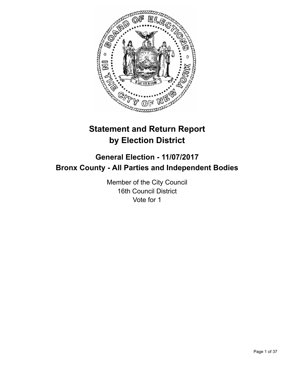

# **Statement and Return Report by Election District**

# **General Election - 11/07/2017 Bronx County - All Parties and Independent Bodies**

Member of the City Council 16th Council District Vote for 1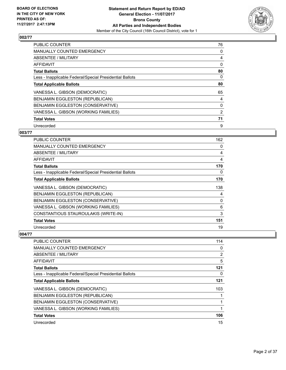

| <b>PUBLIC COUNTER</b>                                    | 76 |
|----------------------------------------------------------|----|
| MANUALLY COUNTED EMERGENCY                               | 0  |
| ABSENTEE / MILITARY                                      | 4  |
| <b>AFFIDAVIT</b>                                         | 0  |
| <b>Total Ballots</b>                                     | 80 |
| Less - Inapplicable Federal/Special Presidential Ballots | 0  |
| <b>Total Applicable Ballots</b>                          | 80 |
| VANESSA L. GIBSON (DEMOCRATIC)                           | 65 |
| BENJAMIN EGGLESTON (REPUBLICAN)                          | 4  |
| BENJAMIN EGGLESTON (CONSERVATIVE)                        | 0  |
| VANESSA L. GIBSON (WORKING FAMILIES)                     | 2  |
| <b>Total Votes</b>                                       | 71 |
| Unrecorded                                               | 9  |

# **003/77**

| <b>PUBLIC COUNTER</b>                                    | 162 |
|----------------------------------------------------------|-----|
| <b>MANUALLY COUNTED EMERGENCY</b>                        | 0   |
| ABSENTEE / MILITARY                                      | 4   |
| AFFIDAVIT                                                | 4   |
| <b>Total Ballots</b>                                     | 170 |
| Less - Inapplicable Federal/Special Presidential Ballots | 0   |
| <b>Total Applicable Ballots</b>                          | 170 |
| VANESSA L. GIBSON (DEMOCRATIC)                           | 138 |
| BENJAMIN EGGLESTON (REPUBLICAN)                          | 4   |
| BENJAMIN EGGLESTON (CONSERVATIVE)                        | 0   |
| VANESSA L. GIBSON (WORKING FAMILIES)                     | 6   |
| CONSTANTIOUS STAUROULAKIS (WRITE-IN)                     | 3   |
| <b>Total Votes</b>                                       | 151 |
| Unrecorded                                               | 19  |

| PUBLIC COUNTER                                           | 114 |
|----------------------------------------------------------|-----|
| MANUALLY COUNTED EMERGENCY                               | 0   |
| ABSENTEE / MILITARY                                      | 2   |
| AFFIDAVIT                                                | 5   |
| <b>Total Ballots</b>                                     | 121 |
| Less - Inapplicable Federal/Special Presidential Ballots | 0   |
| <b>Total Applicable Ballots</b>                          | 121 |
| VANESSA L. GIBSON (DEMOCRATIC)                           | 103 |
| BENJAMIN EGGLESTON (REPUBLICAN)                          |     |
| BENJAMIN EGGLESTON (CONSERVATIVE)                        |     |
| VANESSA L. GIBSON (WORKING FAMILIES)                     |     |
| <b>Total Votes</b>                                       | 106 |
| Unrecorded                                               | 15  |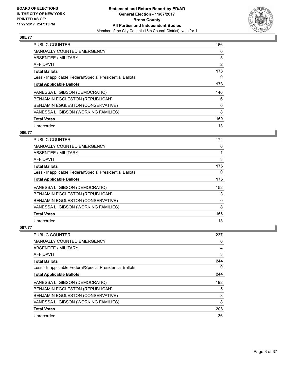

| <b>PUBLIC COUNTER</b>                                    | 166            |
|----------------------------------------------------------|----------------|
| <b>MANUALLY COUNTED EMERGENCY</b>                        | 0              |
| ABSENTEE / MILITARY                                      | 5              |
| <b>AFFIDAVIT</b>                                         | $\overline{2}$ |
| <b>Total Ballots</b>                                     | 173            |
| Less - Inapplicable Federal/Special Presidential Ballots | 0              |
| <b>Total Applicable Ballots</b>                          | 173            |
| VANESSA L. GIBSON (DEMOCRATIC)                           | 146            |
| BENJAMIN EGGLESTON (REPUBLICAN)                          | 6              |
| BENJAMIN EGGLESTON (CONSERVATIVE)                        | 0              |
| VANESSA L. GIBSON (WORKING FAMILIES)                     | 8              |
| <b>Total Votes</b>                                       | 160            |
| Unrecorded                                               | 13             |

#### **006/77**

| PUBLIC COUNTER                                           | 172 |
|----------------------------------------------------------|-----|
| MANUALLY COUNTED EMERGENCY                               | 0   |
| ABSENTEE / MILITARY                                      |     |
| AFFIDAVIT                                                | 3   |
| <b>Total Ballots</b>                                     | 176 |
| Less - Inapplicable Federal/Special Presidential Ballots | 0   |
| <b>Total Applicable Ballots</b>                          | 176 |
| VANESSA L. GIBSON (DEMOCRATIC)                           | 152 |
| BENJAMIN EGGLESTON (REPUBLICAN)                          | 3   |
| BENJAMIN EGGLESTON (CONSERVATIVE)                        | 0   |
| VANESSA L. GIBSON (WORKING FAMILIES)                     | 8   |
| <b>Total Votes</b>                                       | 163 |
| Unrecorded                                               | 13  |

| PUBLIC COUNTER                                           | 237 |
|----------------------------------------------------------|-----|
| <b>MANUALLY COUNTED EMERGENCY</b>                        | 0   |
| ABSENTEE / MILITARY                                      | 4   |
| AFFIDAVIT                                                | 3   |
| <b>Total Ballots</b>                                     | 244 |
| Less - Inapplicable Federal/Special Presidential Ballots | 0   |
| <b>Total Applicable Ballots</b>                          | 244 |
| VANESSA L. GIBSON (DEMOCRATIC)                           | 192 |
| <b>BENJAMIN EGGLESTON (REPUBLICAN)</b>                   | 5   |
| BENJAMIN EGGLESTON (CONSERVATIVE)                        | 3   |
| VANESSA L. GIBSON (WORKING FAMILIES)                     | 8   |
| <b>Total Votes</b>                                       | 208 |
| Unrecorded                                               | 36  |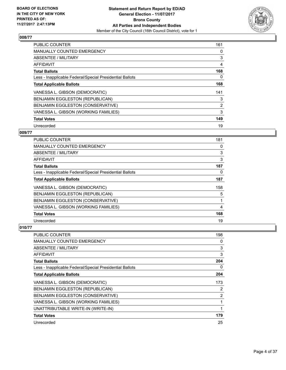

| <b>PUBLIC COUNTER</b>                                    | 161 |
|----------------------------------------------------------|-----|
| <b>MANUALLY COUNTED EMERGENCY</b>                        | 0   |
| ABSENTEE / MILITARY                                      | 3   |
| <b>AFFIDAVIT</b>                                         | 4   |
| <b>Total Ballots</b>                                     | 168 |
| Less - Inapplicable Federal/Special Presidential Ballots | 0   |
| <b>Total Applicable Ballots</b>                          | 168 |
| VANESSA L. GIBSON (DEMOCRATIC)                           | 141 |
| BENJAMIN EGGLESTON (REPUBLICAN)                          | 3   |
| BENJAMIN EGGLESTON (CONSERVATIVE)                        | 2   |
| VANESSA L. GIBSON (WORKING FAMILIES)                     | 3   |
| <b>Total Votes</b>                                       | 149 |
| Unrecorded                                               | 19  |

#### **009/77**

| <b>PUBLIC COUNTER</b>                                    | 181 |
|----------------------------------------------------------|-----|
| MANUALLY COUNTED EMERGENCY                               | 0   |
| ABSENTEE / MILITARY                                      | 3   |
| AFFIDAVIT                                                | 3   |
| <b>Total Ballots</b>                                     | 187 |
| Less - Inapplicable Federal/Special Presidential Ballots | 0   |
| <b>Total Applicable Ballots</b>                          | 187 |
| VANESSA L. GIBSON (DEMOCRATIC)                           | 158 |
| BENJAMIN EGGLESTON (REPUBLICAN)                          | 5   |
| BENJAMIN EGGLESTON (CONSERVATIVE)                        |     |
| VANESSA L. GIBSON (WORKING FAMILIES)                     | 4   |
| <b>Total Votes</b>                                       | 168 |
| Unrecorded                                               | 19  |

| PUBLIC COUNTER                                           | 198            |
|----------------------------------------------------------|----------------|
| <b>MANUALLY COUNTED EMERGENCY</b>                        | 0              |
| ABSENTEE / MILITARY                                      | 3              |
| AFFIDAVIT                                                | 3              |
| <b>Total Ballots</b>                                     | 204            |
| Less - Inapplicable Federal/Special Presidential Ballots | 0              |
| <b>Total Applicable Ballots</b>                          | 204            |
| VANESSA L. GIBSON (DEMOCRATIC)                           | 173            |
| BENJAMIN EGGLESTON (REPUBLICAN)                          | 2              |
| BENJAMIN EGGLESTON (CONSERVATIVE)                        | $\overline{2}$ |
| VANESSA L. GIBSON (WORKING FAMILIES)                     |                |
| UNATTRIBUTABLE WRITE-IN (WRITE-IN)                       |                |
| <b>Total Votes</b>                                       | 179            |
| Unrecorded                                               | 25             |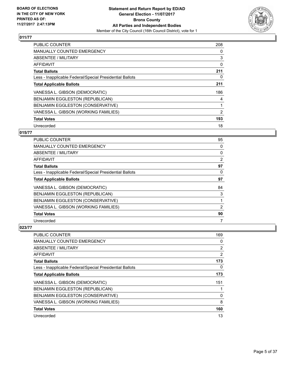

| <b>PUBLIC COUNTER</b>                                    | 208 |
|----------------------------------------------------------|-----|
| <b>MANUALLY COUNTED EMERGENCY</b>                        | 0   |
| ABSENTEE / MILITARY                                      | 3   |
| <b>AFFIDAVIT</b>                                         | 0   |
| <b>Total Ballots</b>                                     | 211 |
| Less - Inapplicable Federal/Special Presidential Ballots | 0   |
| <b>Total Applicable Ballots</b>                          | 211 |
| VANESSA L. GIBSON (DEMOCRATIC)                           | 186 |
| <b>BENJAMIN EGGLESTON (REPUBLICAN)</b>                   | 4   |
| BENJAMIN EGGLESTON (CONSERVATIVE)                        |     |
| VANESSA L. GIBSON (WORKING FAMILIES)                     | 2   |
| <b>Total Votes</b>                                       | 193 |
| Unrecorded                                               | 18  |

# **015/77**

| PUBLIC COUNTER                                           | 95 |
|----------------------------------------------------------|----|
| <b>MANUALLY COUNTED EMERGENCY</b>                        | 0  |
| <b>ABSENTEE / MILITARY</b>                               | 0  |
| AFFIDAVIT                                                | 2  |
| <b>Total Ballots</b>                                     | 97 |
| Less - Inapplicable Federal/Special Presidential Ballots | 0  |
| <b>Total Applicable Ballots</b>                          | 97 |
| VANESSA L. GIBSON (DEMOCRATIC)                           | 84 |
| BENJAMIN EGGLESTON (REPUBLICAN)                          | 3  |
| BENJAMIN EGGLESTON (CONSERVATIVE)                        |    |
| VANESSA L. GIBSON (WORKING FAMILIES)                     | 2  |
| <b>Total Votes</b>                                       | 90 |
| Unrecorded                                               | 7  |

| PUBLIC COUNTER                                           | 169            |
|----------------------------------------------------------|----------------|
| <b>MANUALLY COUNTED EMERGENCY</b>                        | 0              |
| ABSENTEE / MILITARY                                      | $\overline{2}$ |
| AFFIDAVIT                                                | $\overline{2}$ |
| <b>Total Ballots</b>                                     | 173            |
| Less - Inapplicable Federal/Special Presidential Ballots | 0              |
| <b>Total Applicable Ballots</b>                          | 173            |
| VANESSA L. GIBSON (DEMOCRATIC)                           | 151            |
| <b>BENJAMIN EGGLESTON (REPUBLICAN)</b>                   |                |
| BENJAMIN EGGLESTON (CONSERVATIVE)                        | 0              |
| VANESSA L. GIBSON (WORKING FAMILIES)                     | 8              |
| <b>Total Votes</b>                                       | 160            |
| Unrecorded                                               | 13             |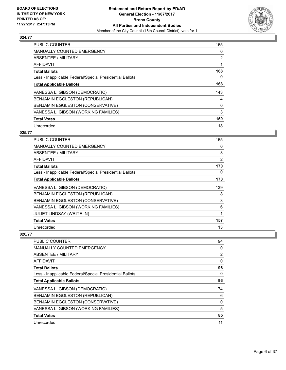

| <b>PUBLIC COUNTER</b>                                    | 165            |
|----------------------------------------------------------|----------------|
| <b>MANUALLY COUNTED EMERGENCY</b>                        | 0              |
| ABSENTEE / MILITARY                                      | $\overline{2}$ |
| AFFIDAVIT                                                |                |
| <b>Total Ballots</b>                                     | 168            |
| Less - Inapplicable Federal/Special Presidential Ballots | 0              |
| <b>Total Applicable Ballots</b>                          | 168            |
| VANESSA L. GIBSON (DEMOCRATIC)                           | 143            |
| BENJAMIN EGGLESTON (REPUBLICAN)                          | 4              |
| BENJAMIN EGGLESTON (CONSERVATIVE)                        | 0              |
| VANESSA L. GIBSON (WORKING FAMILIES)                     | 3              |
| <b>Total Votes</b>                                       | 150            |
| Unrecorded                                               | 18             |

#### **025/77**

| PUBLIC COUNTER                                           | 165 |
|----------------------------------------------------------|-----|
| MANUALLY COUNTED EMERGENCY                               | 0   |
| ABSENTEE / MILITARY                                      | 3   |
| AFFIDAVIT                                                | 2   |
| <b>Total Ballots</b>                                     | 170 |
| Less - Inapplicable Federal/Special Presidential Ballots | 0   |
| <b>Total Applicable Ballots</b>                          | 170 |
| VANESSA L. GIBSON (DEMOCRATIC)                           | 139 |
| BENJAMIN EGGLESTON (REPUBLICAN)                          | 8   |
| BENJAMIN EGGLESTON (CONSERVATIVE)                        | 3   |
| VANESSA L. GIBSON (WORKING FAMILIES)                     | 6   |
| <b>JULIET LINDSAY (WRITE-IN)</b>                         | 1   |
| <b>Total Votes</b>                                       | 157 |
| Unrecorded                                               | 13  |

| PUBLIC COUNTER                                           | 94             |
|----------------------------------------------------------|----------------|
| <b>MANUALLY COUNTED EMERGENCY</b>                        | 0              |
| ABSENTEE / MILITARY                                      | $\overline{2}$ |
| AFFIDAVIT                                                | 0              |
| <b>Total Ballots</b>                                     | 96             |
| Less - Inapplicable Federal/Special Presidential Ballots | 0              |
| <b>Total Applicable Ballots</b>                          | 96             |
| VANESSA L. GIBSON (DEMOCRATIC)                           | 74             |
| BENJAMIN EGGLESTON (REPUBLICAN)                          | 6              |
| <b>BENJAMIN EGGLESTON (CONSERVATIVE)</b>                 | 0              |
| VANESSA L. GIBSON (WORKING FAMILIES)                     | 5              |
| <b>Total Votes</b>                                       | 85             |
| Unrecorded                                               | 11             |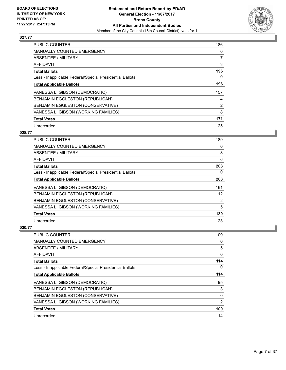

| <b>PUBLIC COUNTER</b>                                    | 186            |
|----------------------------------------------------------|----------------|
| MANUALLY COUNTED EMERGENCY                               | 0              |
| ABSENTEE / MILITARY                                      | $\overline{7}$ |
| <b>AFFIDAVIT</b>                                         | 3              |
| <b>Total Ballots</b>                                     | 196            |
| Less - Inapplicable Federal/Special Presidential Ballots | 0              |
| <b>Total Applicable Ballots</b>                          | 196            |
| VANESSA L. GIBSON (DEMOCRATIC)                           | 157            |
| BENJAMIN EGGLESTON (REPUBLICAN)                          | 4              |
| BENJAMIN EGGLESTON (CONSERVATIVE)                        | 2              |
| VANESSA L. GIBSON (WORKING FAMILIES)                     | 8              |
| <b>Total Votes</b>                                       | 171            |
| Unrecorded                                               | 25             |

# **028/77**

| <b>PUBLIC COUNTER</b>                                    | 189            |
|----------------------------------------------------------|----------------|
| <b>MANUALLY COUNTED EMERGENCY</b>                        | 0              |
| ABSENTEE / MILITARY                                      | 8              |
| AFFIDAVIT                                                | 6              |
| <b>Total Ballots</b>                                     | 203            |
| Less - Inapplicable Federal/Special Presidential Ballots | 0              |
| <b>Total Applicable Ballots</b>                          | 203            |
| VANESSA L. GIBSON (DEMOCRATIC)                           | 161            |
| BENJAMIN EGGLESTON (REPUBLICAN)                          | 12             |
| BENJAMIN EGGLESTON (CONSERVATIVE)                        | $\overline{2}$ |
| VANESSA L. GIBSON (WORKING FAMILIES)                     | 5              |
| <b>Total Votes</b>                                       | 180            |
| Unrecorded                                               | 23             |

| PUBLIC COUNTER                                           | 109 |
|----------------------------------------------------------|-----|
| MANUALLY COUNTED EMERGENCY                               | 0   |
| ABSENTEE / MILITARY                                      | 5   |
| AFFIDAVIT                                                | 0   |
| <b>Total Ballots</b>                                     | 114 |
| Less - Inapplicable Federal/Special Presidential Ballots | 0   |
| <b>Total Applicable Ballots</b>                          | 114 |
| VANESSA L. GIBSON (DEMOCRATIC)                           | 95  |
| BENJAMIN EGGLESTON (REPUBLICAN)                          | 3   |
| BENJAMIN EGGLESTON (CONSERVATIVE)                        | 0   |
| VANESSA L. GIBSON (WORKING FAMILIES)                     | 2   |
| <b>Total Votes</b>                                       | 100 |
| Unrecorded                                               | 14  |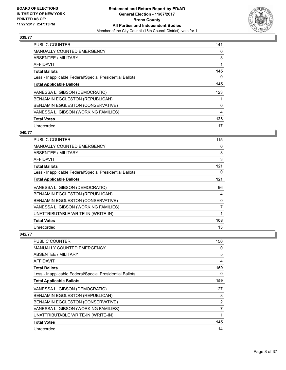

| <b>PUBLIC COUNTER</b>                                    | 141 |
|----------------------------------------------------------|-----|
| <b>MANUALLY COUNTED EMERGENCY</b>                        | 0   |
| ABSENTEE / MILITARY                                      | 3   |
| AFFIDAVIT                                                |     |
| <b>Total Ballots</b>                                     | 145 |
| Less - Inapplicable Federal/Special Presidential Ballots | 0   |
| <b>Total Applicable Ballots</b>                          | 145 |
| VANESSA L. GIBSON (DEMOCRATIC)                           | 123 |
| BENJAMIN EGGLESTON (REPUBLICAN)                          |     |
| BENJAMIN EGGLESTON (CONSERVATIVE)                        | 0   |
| VANESSA L. GIBSON (WORKING FAMILIES)                     | 4   |
| <b>Total Votes</b>                                       | 128 |
| Unrecorded                                               | 17  |

# **040/77**

| PUBLIC COUNTER                                           | 115            |
|----------------------------------------------------------|----------------|
| <b>MANUALLY COUNTED EMERGENCY</b>                        | 0              |
| ABSENTEE / MILITARY                                      | 3              |
| AFFIDAVIT                                                | 3              |
| <b>Total Ballots</b>                                     | 121            |
| Less - Inapplicable Federal/Special Presidential Ballots | 0              |
| <b>Total Applicable Ballots</b>                          | 121            |
| VANESSA L. GIBSON (DEMOCRATIC)                           | 96             |
| BENJAMIN EGGLESTON (REPUBLICAN)                          | 4              |
| BENJAMIN EGGLESTON (CONSERVATIVE)                        | 0              |
| VANESSA L. GIBSON (WORKING FAMILIES)                     | $\overline{7}$ |
| UNATTRIBUTABLE WRITE-IN (WRITE-IN)                       | 1              |
| <b>Total Votes</b>                                       | 108            |
| Unrecorded                                               | 13             |

| <b>PUBLIC COUNTER</b>                                    | 150            |
|----------------------------------------------------------|----------------|
| <b>MANUALLY COUNTED EMERGENCY</b>                        | 0              |
| ABSENTEE / MILITARY                                      | 5              |
| AFFIDAVIT                                                | 4              |
| <b>Total Ballots</b>                                     | 159            |
| Less - Inapplicable Federal/Special Presidential Ballots | 0              |
| <b>Total Applicable Ballots</b>                          | 159            |
| VANESSA L. GIBSON (DEMOCRATIC)                           | 127            |
| BENJAMIN EGGLESTON (REPUBLICAN)                          | 8              |
| BENJAMIN EGGLESTON (CONSERVATIVE)                        | $\overline{2}$ |
| VANESSA L. GIBSON (WORKING FAMILIES)                     | 7              |
| UNATTRIBUTABLE WRITE-IN (WRITE-IN)                       |                |
| <b>Total Votes</b>                                       | 145            |
| Unrecorded                                               |                |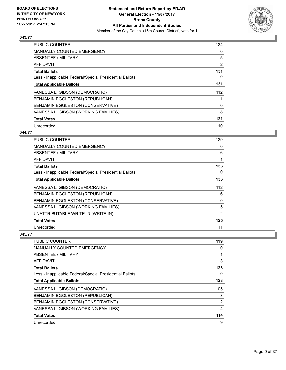

| <b>PUBLIC COUNTER</b>                                    | 124            |
|----------------------------------------------------------|----------------|
| <b>MANUALLY COUNTED EMERGENCY</b>                        | 0              |
| ABSENTEE / MILITARY                                      | 5              |
| <b>AFFIDAVIT</b>                                         | $\overline{2}$ |
| <b>Total Ballots</b>                                     | 131            |
| Less - Inapplicable Federal/Special Presidential Ballots | 0              |
| <b>Total Applicable Ballots</b>                          | 131            |
| VANESSA L. GIBSON (DEMOCRATIC)                           | 112            |
| BENJAMIN EGGLESTON (REPUBLICAN)                          |                |
| BENJAMIN EGGLESTON (CONSERVATIVE)                        | 0              |
| VANESSA L. GIBSON (WORKING FAMILIES)                     | 8              |
| <b>Total Votes</b>                                       | 121            |
| Unrecorded                                               | 10             |

#### **044/77**

| PUBLIC COUNTER                                           | 129            |
|----------------------------------------------------------|----------------|
| <b>MANUALLY COUNTED EMERGENCY</b>                        | 0              |
| ABSENTEE / MILITARY                                      | 6              |
| AFFIDAVIT                                                | 1              |
| <b>Total Ballots</b>                                     | 136            |
| Less - Inapplicable Federal/Special Presidential Ballots | 0              |
| <b>Total Applicable Ballots</b>                          | 136            |
| VANESSA L. GIBSON (DEMOCRATIC)                           | 112            |
| BENJAMIN EGGLESTON (REPUBLICAN)                          | 6              |
| BENJAMIN EGGLESTON (CONSERVATIVE)                        | 0              |
| VANESSA L. GIBSON (WORKING FAMILIES)                     | 5              |
| UNATTRIBUTABLE WRITE-IN (WRITE-IN)                       | $\overline{2}$ |
| <b>Total Votes</b>                                       | 125            |
| Unrecorded                                               | 11             |

| <b>PUBLIC COUNTER</b>                                    | 119 |
|----------------------------------------------------------|-----|
| MANUALLY COUNTED EMERGENCY                               | 0   |
| ABSENTEE / MILITARY                                      | 1   |
| AFFIDAVIT                                                | 3   |
| <b>Total Ballots</b>                                     | 123 |
| Less - Inapplicable Federal/Special Presidential Ballots | 0   |
| <b>Total Applicable Ballots</b>                          | 123 |
| VANESSA L. GIBSON (DEMOCRATIC)                           | 105 |
| BENJAMIN EGGLESTON (REPUBLICAN)                          | 3   |
| BENJAMIN EGGLESTON (CONSERVATIVE)                        | 2   |
| VANESSA L. GIBSON (WORKING FAMILIES)                     | 4   |
| <b>Total Votes</b>                                       | 114 |
| Unrecorded                                               | 9   |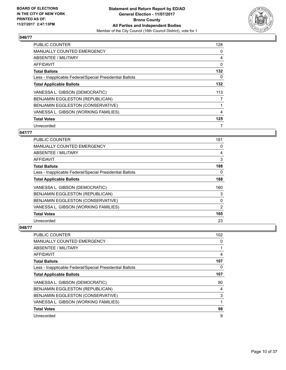

| <b>PUBLIC COUNTER</b>                                    | 128 |
|----------------------------------------------------------|-----|
| MANUALLY COUNTED EMERGENCY                               | 0   |
| ABSENTEE / MILITARY                                      | 4   |
| <b>AFFIDAVIT</b>                                         | 0   |
| <b>Total Ballots</b>                                     | 132 |
| Less - Inapplicable Federal/Special Presidential Ballots | 0   |
| <b>Total Applicable Ballots</b>                          | 132 |
| VANESSA L. GIBSON (DEMOCRATIC)                           | 113 |
| BENJAMIN EGGLESTON (REPUBLICAN)                          | 7   |
| BENJAMIN EGGLESTON (CONSERVATIVE)                        |     |
| VANESSA L. GIBSON (WORKING FAMILIES)                     | 4   |
| <b>Total Votes</b>                                       | 125 |
| Unrecorded                                               | 7   |

# **047/77**

| PUBLIC COUNTER                                           | 181            |
|----------------------------------------------------------|----------------|
| <b>MANUALLY COUNTED EMERGENCY</b>                        | 0              |
| ABSENTEE / MILITARY                                      | 4              |
| AFFIDAVIT                                                | 3              |
| <b>Total Ballots</b>                                     | 188            |
| Less - Inapplicable Federal/Special Presidential Ballots | 0              |
| <b>Total Applicable Ballots</b>                          | 188            |
| VANESSA L. GIBSON (DEMOCRATIC)                           | 160            |
| BENJAMIN EGGLESTON (REPUBLICAN)                          | 3              |
| BENJAMIN EGGLESTON (CONSERVATIVE)                        | 0              |
| VANESSA L. GIBSON (WORKING FAMILIES)                     | $\overline{2}$ |
| <b>Total Votes</b>                                       | 165            |
| Unrecorded                                               | 23             |

| PUBLIC COUNTER                                           | 102 |
|----------------------------------------------------------|-----|
| <b>MANUALLY COUNTED EMERGENCY</b>                        | 0   |
| ABSENTEE / MILITARY                                      |     |
| AFFIDAVIT                                                | 4   |
| <b>Total Ballots</b>                                     | 107 |
| Less - Inapplicable Federal/Special Presidential Ballots | 0   |
| <b>Total Applicable Ballots</b>                          | 107 |
| VANESSA L. GIBSON (DEMOCRATIC)                           | 90  |
| BENJAMIN EGGLESTON (REPUBLICAN)                          | 4   |
| BENJAMIN EGGLESTON (CONSERVATIVE)                        | 3   |
| VANESSA L. GIBSON (WORKING FAMILIES)                     |     |
| <b>Total Votes</b>                                       | 98  |
| Unrecorded                                               | 9   |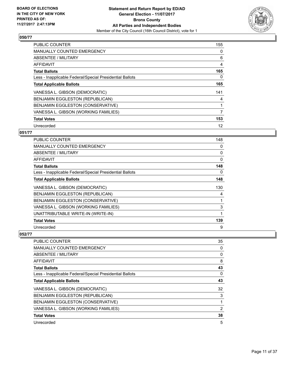

| <b>PUBLIC COUNTER</b>                                    | 155 |
|----------------------------------------------------------|-----|
| <b>MANUALLY COUNTED EMERGENCY</b>                        | 0   |
| ABSENTEE / MILITARY                                      | 6   |
| <b>AFFIDAVIT</b>                                         | 4   |
| <b>Total Ballots</b>                                     | 165 |
| Less - Inapplicable Federal/Special Presidential Ballots | 0   |
| <b>Total Applicable Ballots</b>                          | 165 |
| VANESSA L. GIBSON (DEMOCRATIC)                           | 141 |
| BENJAMIN EGGLESTON (REPUBLICAN)                          | 4   |
| BENJAMIN EGGLESTON (CONSERVATIVE)                        |     |
| VANESSA L. GIBSON (WORKING FAMILIES)                     | 7   |
| <b>Total Votes</b>                                       | 153 |
| Unrecorded                                               | 12  |

# **051/77**

| PUBLIC COUNTER                                           | 148 |
|----------------------------------------------------------|-----|
| <b>MANUALLY COUNTED EMERGENCY</b>                        | 0   |
| ABSENTEE / MILITARY                                      | 0   |
| AFFIDAVIT                                                | 0   |
| <b>Total Ballots</b>                                     | 148 |
| Less - Inapplicable Federal/Special Presidential Ballots | 0   |
| <b>Total Applicable Ballots</b>                          | 148 |
| VANESSA L. GIBSON (DEMOCRATIC)                           | 130 |
| BENJAMIN EGGLESTON (REPUBLICAN)                          | 4   |
| BENJAMIN EGGLESTON (CONSERVATIVE)                        | 1   |
| VANESSA L. GIBSON (WORKING FAMILIES)                     | 3   |
| UNATTRIBUTABLE WRITE-IN (WRITE-IN)                       | 1   |
| <b>Total Votes</b>                                       | 139 |
| Unrecorded                                               | 9   |

| PUBLIC COUNTER                                           | 35 |
|----------------------------------------------------------|----|
| <b>MANUALLY COUNTED EMERGENCY</b>                        | 0  |
| ABSENTEE / MILITARY                                      | 0  |
| AFFIDAVIT                                                | 8  |
| <b>Total Ballots</b>                                     | 43 |
| Less - Inapplicable Federal/Special Presidential Ballots | 0  |
| <b>Total Applicable Ballots</b>                          | 43 |
| VANESSA L. GIBSON (DEMOCRATIC)                           | 32 |
| BENJAMIN EGGLESTON (REPUBLICAN)                          | 3  |
| BENJAMIN EGGLESTON (CONSERVATIVE)                        |    |
| VANESSA L. GIBSON (WORKING FAMILIES)                     | 2  |
| <b>Total Votes</b>                                       | 38 |
| Unrecorded                                               | 5  |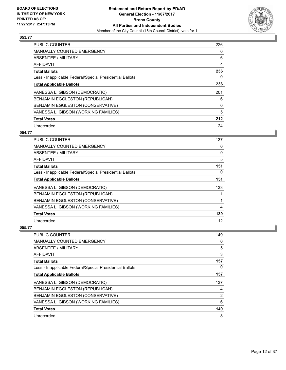

| <b>PUBLIC COUNTER</b>                                    | 226 |
|----------------------------------------------------------|-----|
| <b>MANUALLY COUNTED EMERGENCY</b>                        | 0   |
| ABSENTEE / MILITARY                                      | 6   |
| <b>AFFIDAVIT</b>                                         | 4   |
| <b>Total Ballots</b>                                     | 236 |
| Less - Inapplicable Federal/Special Presidential Ballots | 0   |
| <b>Total Applicable Ballots</b>                          | 236 |
| VANESSA L. GIBSON (DEMOCRATIC)                           | 201 |
| BENJAMIN EGGLESTON (REPUBLICAN)                          | 6   |
| BENJAMIN EGGLESTON (CONSERVATIVE)                        | 0   |
| VANESSA L. GIBSON (WORKING FAMILIES)                     | 5   |
| <b>Total Votes</b>                                       | 212 |
| Unrecorded                                               | 24  |

#### **054/77**

| <b>PUBLIC COUNTER</b>                                    | 137 |
|----------------------------------------------------------|-----|
| <b>MANUALLY COUNTED EMERGENCY</b>                        | 0   |
| ABSENTEE / MILITARY                                      | 9   |
| AFFIDAVIT                                                | 5   |
| <b>Total Ballots</b>                                     | 151 |
| Less - Inapplicable Federal/Special Presidential Ballots | 0   |
| <b>Total Applicable Ballots</b>                          | 151 |
| VANESSA L. GIBSON (DEMOCRATIC)                           | 133 |
| BENJAMIN EGGLESTON (REPUBLICAN)                          |     |
| BENJAMIN EGGLESTON (CONSERVATIVE)                        |     |
| VANESSA L. GIBSON (WORKING FAMILIES)                     | 4   |
| <b>Total Votes</b>                                       | 139 |
| Unrecorded                                               | 12  |

| PUBLIC COUNTER                                           | 149            |
|----------------------------------------------------------|----------------|
| <b>MANUALLY COUNTED EMERGENCY</b>                        | 0              |
| ABSENTEE / MILITARY                                      | 5              |
| AFFIDAVIT                                                | 3              |
| <b>Total Ballots</b>                                     | 157            |
| Less - Inapplicable Federal/Special Presidential Ballots | 0              |
| <b>Total Applicable Ballots</b>                          | 157            |
| VANESSA L. GIBSON (DEMOCRATIC)                           | 137            |
| <b>BENJAMIN EGGLESTON (REPUBLICAN)</b>                   | 4              |
| BENJAMIN EGGLESTON (CONSERVATIVE)                        | $\overline{2}$ |
| VANESSA L. GIBSON (WORKING FAMILIES)                     | 6              |
| <b>Total Votes</b>                                       | 149            |
| Unrecorded                                               | 8              |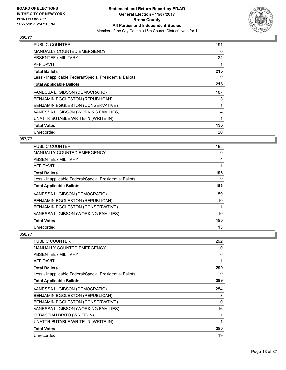

| <b>PUBLIC COUNTER</b>                                    | 191 |
|----------------------------------------------------------|-----|
| <b>MANUALLY COUNTED EMERGENCY</b>                        | 0   |
| ABSENTEE / MILITARY                                      | 24  |
| AFFIDAVIT                                                | 1   |
| <b>Total Ballots</b>                                     | 216 |
| Less - Inapplicable Federal/Special Presidential Ballots | 0   |
| <b>Total Applicable Ballots</b>                          | 216 |
| VANESSA L. GIBSON (DEMOCRATIC)                           | 187 |
| BENJAMIN EGGLESTON (REPUBLICAN)                          | 3   |
| BENJAMIN EGGLESTON (CONSERVATIVE)                        | 1   |
| VANESSA L. GIBSON (WORKING FAMILIES)                     | 4   |
| UNATTRIBUTABLE WRITE-IN (WRITE-IN)                       | 1   |
| <b>Total Votes</b>                                       | 196 |
| Unrecorded                                               | 20  |

# **057/77**

| <b>PUBLIC COUNTER</b>                                    | 188 |
|----------------------------------------------------------|-----|
| <b>MANUALLY COUNTED EMERGENCY</b>                        | 0   |
| ABSENTEE / MILITARY                                      | 4   |
| AFFIDAVIT                                                |     |
| <b>Total Ballots</b>                                     | 193 |
| Less - Inapplicable Federal/Special Presidential Ballots | 0   |
| <b>Total Applicable Ballots</b>                          | 193 |
| VANESSA L. GIBSON (DEMOCRATIC)                           | 159 |
| BENJAMIN EGGLESTON (REPUBLICAN)                          | 10  |
| BENJAMIN EGGLESTON (CONSERVATIVE)                        |     |
| VANESSA L. GIBSON (WORKING FAMILIES)                     | 10  |
| <b>Total Votes</b>                                       | 180 |
| Unrecorded                                               | 13  |

| <b>PUBLIC COUNTER</b>                                    | 292      |
|----------------------------------------------------------|----------|
| <b>MANUALLY COUNTED EMERGENCY</b>                        | 0        |
| <b>ABSENTEE / MILITARY</b>                               | 6        |
| AFFIDAVIT                                                |          |
| <b>Total Ballots</b>                                     | 299      |
| Less - Inapplicable Federal/Special Presidential Ballots | 0        |
| <b>Total Applicable Ballots</b>                          | 299      |
| VANESSA L. GIBSON (DEMOCRATIC)                           | 254      |
| BENJAMIN EGGLESTON (REPUBLICAN)                          | 8        |
| BENJAMIN EGGLESTON (CONSERVATIVE)                        | $\Omega$ |
| VANESSA L. GIBSON (WORKING FAMILIES)                     | 16       |
| SEBASTIAN BRITO (WRITE-IN)                               |          |
| UNATTRIBUTABLE WRITE-IN (WRITE-IN)                       | 1        |
| <b>Total Votes</b>                                       | 280      |
| Unrecorded                                               | 19       |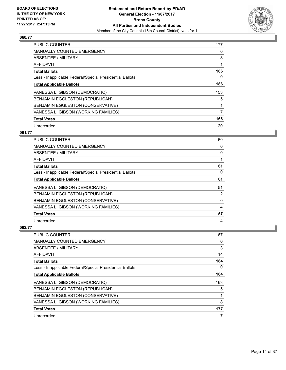

| <b>PUBLIC COUNTER</b>                                    | 177 |
|----------------------------------------------------------|-----|
| <b>MANUALLY COUNTED EMERGENCY</b>                        | 0   |
| ABSENTEE / MILITARY                                      | 8   |
| <b>AFFIDAVIT</b>                                         | 1   |
| <b>Total Ballots</b>                                     | 186 |
| Less - Inapplicable Federal/Special Presidential Ballots | 0   |
| <b>Total Applicable Ballots</b>                          | 186 |
| VANESSA L. GIBSON (DEMOCRATIC)                           | 153 |
| BENJAMIN EGGLESTON (REPUBLICAN)                          | 5   |
| BENJAMIN EGGLESTON (CONSERVATIVE)                        |     |
| VANESSA L. GIBSON (WORKING FAMILIES)                     | 7   |
| <b>Total Votes</b>                                       | 166 |
| Unrecorded                                               | 20  |

# **061/77**

| PUBLIC COUNTER                                           | 60 |
|----------------------------------------------------------|----|
| <b>MANUALLY COUNTED EMERGENCY</b>                        | 0  |
| <b>ABSENTEE / MILITARY</b>                               | 0  |
| AFFIDAVIT                                                |    |
| <b>Total Ballots</b>                                     | 61 |
| Less - Inapplicable Federal/Special Presidential Ballots | 0  |
| <b>Total Applicable Ballots</b>                          | 61 |
| VANESSA L. GIBSON (DEMOCRATIC)                           | 51 |
| BENJAMIN EGGLESTON (REPUBLICAN)                          | 2  |
| BENJAMIN EGGLESTON (CONSERVATIVE)                        | 0  |
| VANESSA L. GIBSON (WORKING FAMILIES)                     | 4  |
| <b>Total Votes</b>                                       | 57 |
| Unrecorded                                               | 4  |

| <b>PUBLIC COUNTER</b>                                    | 167 |
|----------------------------------------------------------|-----|
| <b>MANUALLY COUNTED EMERGENCY</b>                        | 0   |
| ABSENTEE / MILITARY                                      | 3   |
| AFFIDAVIT                                                | 14  |
| <b>Total Ballots</b>                                     | 184 |
| Less - Inapplicable Federal/Special Presidential Ballots | 0   |
| <b>Total Applicable Ballots</b>                          | 184 |
| VANESSA L. GIBSON (DEMOCRATIC)                           | 163 |
| <b>BENJAMIN EGGLESTON (REPUBLICAN)</b>                   | 5   |
| <b>BENJAMIN EGGLESTON (CONSERVATIVE)</b>                 | 1   |
| VANESSA L. GIBSON (WORKING FAMILIES)                     | 8   |
| <b>Total Votes</b>                                       | 177 |
| Unrecorded                                               | 7   |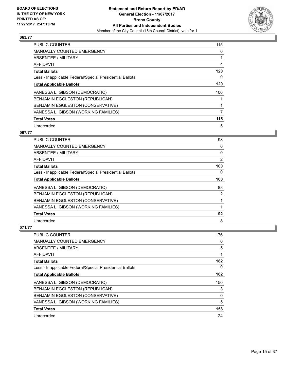

| <b>PUBLIC COUNTER</b>                                    | 115 |
|----------------------------------------------------------|-----|
| MANUALLY COUNTED EMERGENCY                               | 0   |
| ABSENTEE / MILITARY                                      | 1   |
| <b>AFFIDAVIT</b>                                         | 4   |
| <b>Total Ballots</b>                                     | 120 |
| Less - Inapplicable Federal/Special Presidential Ballots | 0   |
| <b>Total Applicable Ballots</b>                          | 120 |
| VANESSA L. GIBSON (DEMOCRATIC)                           | 106 |
| BENJAMIN EGGLESTON (REPUBLICAN)                          |     |
| BENJAMIN EGGLESTON (CONSERVATIVE)                        |     |
| VANESSA L. GIBSON (WORKING FAMILIES)                     | 7   |
| <b>Total Votes</b>                                       | 115 |
| Unrecorded                                               | 5   |

# **067/77**

| PUBLIC COUNTER                                           | 98  |
|----------------------------------------------------------|-----|
| <b>MANUALLY COUNTED EMERGENCY</b>                        | 0   |
| ABSENTEE / MILITARY                                      | 0   |
| AFFIDAVIT                                                | 2   |
| <b>Total Ballots</b>                                     | 100 |
| Less - Inapplicable Federal/Special Presidential Ballots | 0   |
| <b>Total Applicable Ballots</b>                          | 100 |
| VANESSA L. GIBSON (DEMOCRATIC)                           | 88  |
| BENJAMIN EGGLESTON (REPUBLICAN)                          | 2   |
| BENJAMIN EGGLESTON (CONSERVATIVE)                        |     |
| VANESSA L. GIBSON (WORKING FAMILIES)                     |     |
| <b>Total Votes</b>                                       | 92  |
| Unrecorded                                               | 8   |

| <b>PUBLIC COUNTER</b>                                    | 176 |
|----------------------------------------------------------|-----|
| <b>MANUALLY COUNTED EMERGENCY</b>                        | 0   |
| ABSENTEE / MILITARY                                      | 5   |
| AFFIDAVIT                                                |     |
| <b>Total Ballots</b>                                     | 182 |
| Less - Inapplicable Federal/Special Presidential Ballots | 0   |
| <b>Total Applicable Ballots</b>                          | 182 |
| VANESSA L. GIBSON (DEMOCRATIC)                           | 150 |
| BENJAMIN EGGLESTON (REPUBLICAN)                          | 3   |
| BENJAMIN EGGLESTON (CONSERVATIVE)                        | 0   |
| VANESSA L. GIBSON (WORKING FAMILIES)                     | 5   |
| <b>Total Votes</b>                                       | 158 |
| Unrecorded                                               | 24  |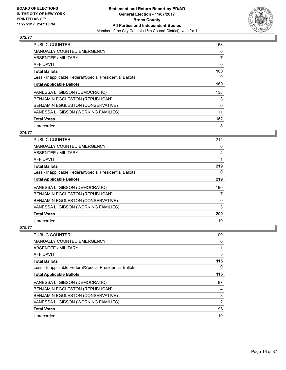

| <b>PUBLIC COUNTER</b>                                    | 153 |
|----------------------------------------------------------|-----|
| MANUALLY COUNTED EMERGENCY                               | 0   |
| ABSENTEE / MILITARY                                      | 7   |
| <b>AFFIDAVIT</b>                                         | 0   |
| <b>Total Ballots</b>                                     | 160 |
| Less - Inapplicable Federal/Special Presidential Ballots | 0   |
| <b>Total Applicable Ballots</b>                          | 160 |
| VANESSA L. GIBSON (DEMOCRATIC)                           | 138 |
| <b>BENJAMIN EGGLESTON (REPUBLICAN)</b>                   | 3   |
| BENJAMIN EGGLESTON (CONSERVATIVE)                        | 0   |
| VANESSA L. GIBSON (WORKING FAMILIES)                     | 11  |
| <b>Total Votes</b>                                       | 152 |
| Unrecorded                                               | 8   |

# **074/77**

| PUBLIC COUNTER                                           | 214 |
|----------------------------------------------------------|-----|
| <b>MANUALLY COUNTED EMERGENCY</b>                        | 0   |
| ABSENTEE / MILITARY                                      | 4   |
| AFFIDAVIT                                                |     |
| <b>Total Ballots</b>                                     | 219 |
| Less - Inapplicable Federal/Special Presidential Ballots | 0   |
| <b>Total Applicable Ballots</b>                          | 219 |
| VANESSA L. GIBSON (DEMOCRATIC)                           | 190 |
| BENJAMIN EGGLESTON (REPUBLICAN)                          | 7   |
| BENJAMIN EGGLESTON (CONSERVATIVE)                        | 0   |
| VANESSA L. GIBSON (WORKING FAMILIES)                     | 3   |
| <b>Total Votes</b>                                       | 200 |
| Unrecorded                                               | 19  |

| <b>PUBLIC COUNTER</b>                                    | 109            |
|----------------------------------------------------------|----------------|
| <b>MANUALLY COUNTED EMERGENCY</b>                        | 0              |
| ABSENTEE / MILITARY                                      |                |
| AFFIDAVIT                                                | 5              |
| <b>Total Ballots</b>                                     | 115            |
| Less - Inapplicable Federal/Special Presidential Ballots | 0              |
| <b>Total Applicable Ballots</b>                          | 115            |
| VANESSA L. GIBSON (DEMOCRATIC)                           | 87             |
| BENJAMIN EGGLESTON (REPUBLICAN)                          | 4              |
| BENJAMIN EGGLESTON (CONSERVATIVE)                        | 3              |
| VANESSA L. GIBSON (WORKING FAMILIES)                     | $\overline{2}$ |
| <b>Total Votes</b>                                       | 96             |
| Unrecorded                                               | 19             |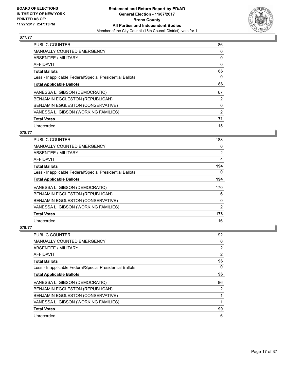

| <b>PUBLIC COUNTER</b>                                    | 86 |
|----------------------------------------------------------|----|
| MANUALLY COUNTED EMERGENCY                               | 0  |
| ABSENTEE / MILITARY                                      | 0  |
| AFFIDAVIT                                                | 0  |
| <b>Total Ballots</b>                                     | 86 |
| Less - Inapplicable Federal/Special Presidential Ballots | 0  |
| <b>Total Applicable Ballots</b>                          | 86 |
| VANESSA L. GIBSON (DEMOCRATIC)                           | 67 |
| BENJAMIN EGGLESTON (REPUBLICAN)                          | 2  |
| BENJAMIN EGGLESTON (CONSERVATIVE)                        | 0  |
| VANESSA L. GIBSON (WORKING FAMILIES)                     | 2  |
| <b>Total Votes</b>                                       | 71 |
| Unrecorded                                               | 15 |

# **078/77**

| <b>PUBLIC COUNTER</b>                                    | 188      |
|----------------------------------------------------------|----------|
| MANUALLY COUNTED EMERGENCY                               | 0        |
| ABSENTEE / MILITARY                                      | 2        |
| AFFIDAVIT                                                | 4        |
| <b>Total Ballots</b>                                     | 194      |
| Less - Inapplicable Federal/Special Presidential Ballots | 0        |
| <b>Total Applicable Ballots</b>                          | 194      |
| VANESSA L. GIBSON (DEMOCRATIC)                           | 170      |
| BENJAMIN EGGLESTON (REPUBLICAN)                          | 6        |
| BENJAMIN EGGLESTON (CONSERVATIVE)                        | $\Omega$ |
| VANESSA L. GIBSON (WORKING FAMILIES)                     | 2        |
| <b>Total Votes</b>                                       | 178      |
| Unrecorded                                               | 16       |

| PUBLIC COUNTER                                           | 92             |
|----------------------------------------------------------|----------------|
| <b>MANUALLY COUNTED EMERGENCY</b>                        | 0              |
| ABSENTEE / MILITARY                                      | 2              |
| AFFIDAVIT                                                | $\overline{2}$ |
| <b>Total Ballots</b>                                     | 96             |
| Less - Inapplicable Federal/Special Presidential Ballots | 0              |
| <b>Total Applicable Ballots</b>                          | 96             |
| VANESSA L. GIBSON (DEMOCRATIC)                           | 86             |
| BENJAMIN EGGLESTON (REPUBLICAN)                          | 2              |
| BENJAMIN EGGLESTON (CONSERVATIVE)                        |                |
| VANESSA L. GIBSON (WORKING FAMILIES)                     | 1              |
| <b>Total Votes</b>                                       | 90             |
| Unrecorded                                               | 6              |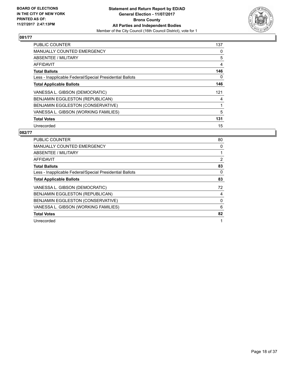

| <b>PUBLIC COUNTER</b>                                    | 137 |
|----------------------------------------------------------|-----|
| <b>MANUALLY COUNTED EMERGENCY</b>                        | 0   |
| ABSENTEE / MILITARY                                      | 5   |
| AFFIDAVIT                                                | 4   |
| <b>Total Ballots</b>                                     | 146 |
| Less - Inapplicable Federal/Special Presidential Ballots | 0   |
| <b>Total Applicable Ballots</b>                          | 146 |
| VANESSA L. GIBSON (DEMOCRATIC)                           | 121 |
| BENJAMIN EGGLESTON (REPUBLICAN)                          | 4   |
| BENJAMIN EGGLESTON (CONSERVATIVE)                        |     |
| VANESSA L. GIBSON (WORKING FAMILIES)                     | 5   |
| <b>Total Votes</b>                                       | 131 |
| Unrecorded                                               | 15  |

| <b>PUBLIC COUNTER</b>                                    | 80             |
|----------------------------------------------------------|----------------|
| <b>MANUALLY COUNTED EMERGENCY</b>                        | 0              |
| ABSENTEE / MILITARY                                      |                |
| AFFIDAVIT                                                | $\overline{2}$ |
| <b>Total Ballots</b>                                     | 83             |
| Less - Inapplicable Federal/Special Presidential Ballots | 0              |
| <b>Total Applicable Ballots</b>                          | 83             |
| VANESSA L. GIBSON (DEMOCRATIC)                           | 72             |
| <b>BENJAMIN EGGLESTON (REPUBLICAN)</b>                   | 4              |
| <b>BENJAMIN EGGLESTON (CONSERVATIVE)</b>                 | 0              |
| VANESSA L. GIBSON (WORKING FAMILIES)                     | 6              |
| <b>Total Votes</b>                                       | 82             |
| Unrecorded                                               | 1              |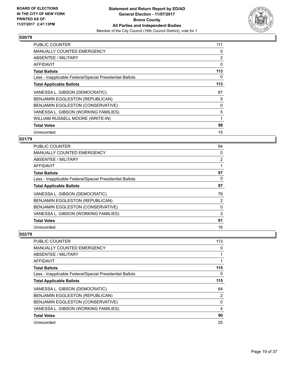

| <b>PUBLIC COUNTER</b>                                    | 111            |
|----------------------------------------------------------|----------------|
| <b>MANUALLY COUNTED EMERGENCY</b>                        | 0              |
| ABSENTEE / MILITARY                                      | $\overline{2}$ |
| AFFIDAVIT                                                | 0              |
| <b>Total Ballots</b>                                     | 113            |
| Less - Inapplicable Federal/Special Presidential Ballots | 0              |
| <b>Total Applicable Ballots</b>                          | 113            |
| VANESSA L. GIBSON (DEMOCRATIC)                           | 87             |
| BENJAMIN EGGLESTON (REPUBLICAN)                          | 5              |
| <b>BENJAMIN EGGLESTON (CONSERVATIVE)</b>                 | 0              |
| VANESSA L. GIBSON (WORKING FAMILIES)                     | 5              |
| WILLIAM RUSSELL MOORE (WRITE-IN)                         | 1              |
| <b>Total Votes</b>                                       | 98             |
| Unrecorded                                               | 15             |

# **021/79**

| PUBLIC COUNTER                                           | 94 |
|----------------------------------------------------------|----|
| <b>MANUALLY COUNTED EMERGENCY</b>                        | 0  |
| ABSENTEE / MILITARY                                      | 2  |
| AFFIDAVIT                                                | 1  |
| <b>Total Ballots</b>                                     | 97 |
| Less - Inapplicable Federal/Special Presidential Ballots | 0  |
| <b>Total Applicable Ballots</b>                          | 97 |
| VANESSA L. GIBSON (DEMOCRATIC)                           | 76 |
| BENJAMIN EGGLESTON (REPUBLICAN)                          | 2  |
| BENJAMIN EGGLESTON (CONSERVATIVE)                        | 0  |
| VANESSA L. GIBSON (WORKING FAMILIES)                     | 3  |
| <b>Total Votes</b>                                       | 81 |
| Unrecorded                                               | 16 |

| PUBLIC COUNTER                                           | 113 |
|----------------------------------------------------------|-----|
| <b>MANUALLY COUNTED EMERGENCY</b>                        | 0   |
| ABSENTEE / MILITARY                                      | 1   |
| AFFIDAVIT                                                |     |
| <b>Total Ballots</b>                                     | 115 |
| Less - Inapplicable Federal/Special Presidential Ballots | 0   |
| <b>Total Applicable Ballots</b>                          | 115 |
| VANESSA L. GIBSON (DEMOCRATIC)                           | 84  |
| <b>BENJAMIN EGGLESTON (REPUBLICAN)</b>                   | 2   |
| BENJAMIN EGGLESTON (CONSERVATIVE)                        | 0   |
| VANESSA L. GIBSON (WORKING FAMILIES)                     | 4   |
| <b>Total Votes</b>                                       | 90  |
| Unrecorded                                               | 25  |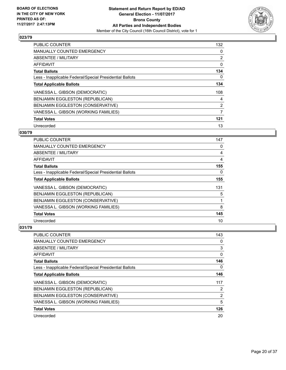

| <b>PUBLIC COUNTER</b>                                    | 132            |
|----------------------------------------------------------|----------------|
| MANUALLY COUNTED EMERGENCY                               | 0              |
| ABSENTEE / MILITARY                                      | $\overline{2}$ |
| <b>AFFIDAVIT</b>                                         | 0              |
| <b>Total Ballots</b>                                     | 134            |
| Less - Inapplicable Federal/Special Presidential Ballots | 0              |
| <b>Total Applicable Ballots</b>                          | 134            |
| VANESSA L. GIBSON (DEMOCRATIC)                           | 108            |
| BENJAMIN EGGLESTON (REPUBLICAN)                          | 4              |
| BENJAMIN EGGLESTON (CONSERVATIVE)                        | 2              |
| VANESSA L. GIBSON (WORKING FAMILIES)                     | 7              |
| <b>Total Votes</b>                                       | 121            |
| Unrecorded                                               | 13             |

#### **030/79**

| <b>PUBLIC COUNTER</b>                                    | 147 |
|----------------------------------------------------------|-----|
| MANUALLY COUNTED EMERGENCY                               | 0   |
| ABSENTEE / MILITARY                                      | 4   |
| AFFIDAVIT                                                | 4   |
| <b>Total Ballots</b>                                     | 155 |
| Less - Inapplicable Federal/Special Presidential Ballots | 0   |
| <b>Total Applicable Ballots</b>                          | 155 |
| VANESSA L. GIBSON (DEMOCRATIC)                           | 131 |
| BENJAMIN EGGLESTON (REPUBLICAN)                          | 5   |
| BENJAMIN EGGLESTON (CONSERVATIVE)                        | 1   |
| VANESSA L. GIBSON (WORKING FAMILIES)                     | 8   |
| <b>Total Votes</b>                                       | 145 |
| Unrecorded                                               | 10  |

| PUBLIC COUNTER                                           | 143            |
|----------------------------------------------------------|----------------|
| <b>MANUALLY COUNTED EMERGENCY</b>                        | 0              |
| ABSENTEE / MILITARY                                      | 3              |
| AFFIDAVIT                                                | 0              |
| <b>Total Ballots</b>                                     | 146            |
| Less - Inapplicable Federal/Special Presidential Ballots | 0              |
| <b>Total Applicable Ballots</b>                          | 146            |
| VANESSA L. GIBSON (DEMOCRATIC)                           | 117            |
| BENJAMIN EGGLESTON (REPUBLICAN)                          | 2              |
| BENJAMIN EGGLESTON (CONSERVATIVE)                        | $\overline{2}$ |
| VANESSA L. GIBSON (WORKING FAMILIES)                     | 5              |
| <b>Total Votes</b>                                       | 126            |
| Unrecorded                                               | 20             |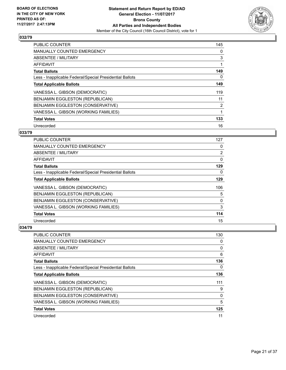

| <b>PUBLIC COUNTER</b>                                    | 145 |
|----------------------------------------------------------|-----|
| MANUALLY COUNTED EMERGENCY                               | 0   |
| ABSENTEE / MILITARY                                      | 3   |
| AFFIDAVIT                                                | 1   |
| <b>Total Ballots</b>                                     | 149 |
| Less - Inapplicable Federal/Special Presidential Ballots | 0   |
| <b>Total Applicable Ballots</b>                          | 149 |
| VANESSA L. GIBSON (DEMOCRATIC)                           | 119 |
| <b>BENJAMIN EGGLESTON (REPUBLICAN)</b>                   | 11  |
| BENJAMIN EGGLESTON (CONSERVATIVE)                        | 2   |
| VANESSA L. GIBSON (WORKING FAMILIES)                     | 1   |
| <b>Total Votes</b>                                       | 133 |
| Unrecorded                                               | 16  |

# **033/79**

| PUBLIC COUNTER                                           | 127            |
|----------------------------------------------------------|----------------|
| <b>MANUALLY COUNTED EMERGENCY</b>                        | 0              |
| ABSENTEE / MILITARY                                      | $\overline{2}$ |
| AFFIDAVIT                                                | 0              |
| <b>Total Ballots</b>                                     | 129            |
| Less - Inapplicable Federal/Special Presidential Ballots | 0              |
| <b>Total Applicable Ballots</b>                          | 129            |
| VANESSA L. GIBSON (DEMOCRATIC)                           | 106            |
| BENJAMIN EGGLESTON (REPUBLICAN)                          | 5              |
| BENJAMIN EGGLESTON (CONSERVATIVE)                        | $\Omega$       |
| VANESSA L. GIBSON (WORKING FAMILIES)                     | 3              |
| <b>Total Votes</b>                                       | 114            |
| Unrecorded                                               | 15             |

| <b>PUBLIC COUNTER</b>                                    | 130      |
|----------------------------------------------------------|----------|
| <b>MANUALLY COUNTED EMERGENCY</b>                        | 0        |
| ABSENTEE / MILITARY                                      | 0        |
| AFFIDAVIT                                                | 6        |
| <b>Total Ballots</b>                                     | 136      |
| Less - Inapplicable Federal/Special Presidential Ballots | 0        |
| <b>Total Applicable Ballots</b>                          | 136      |
| VANESSA L. GIBSON (DEMOCRATIC)                           | 111      |
| BENJAMIN EGGLESTON (REPUBLICAN)                          | 9        |
| BENJAMIN EGGLESTON (CONSERVATIVE)                        | $\Omega$ |
| VANESSA L. GIBSON (WORKING FAMILIES)                     | 5        |
| <b>Total Votes</b>                                       | 125      |
| Unrecorded                                               | 11       |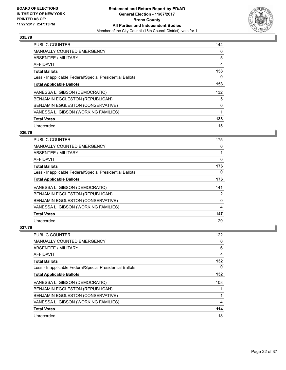

| <b>PUBLIC COUNTER</b>                                    | 144 |
|----------------------------------------------------------|-----|
| <b>MANUALLY COUNTED EMERGENCY</b>                        | 0   |
| ABSENTEE / MILITARY                                      | 5   |
| <b>AFFIDAVIT</b>                                         | 4   |
| <b>Total Ballots</b>                                     | 153 |
| Less - Inapplicable Federal/Special Presidential Ballots | 0   |
| <b>Total Applicable Ballots</b>                          | 153 |
| VANESSA L. GIBSON (DEMOCRATIC)                           | 132 |
| BENJAMIN EGGLESTON (REPUBLICAN)                          | 5   |
| BENJAMIN EGGLESTON (CONSERVATIVE)                        | 0   |
| VANESSA L. GIBSON (WORKING FAMILIES)                     | 1   |
| <b>Total Votes</b>                                       | 138 |
| Unrecorded                                               | 15  |

# **036/79**

| <b>PUBLIC COUNTER</b>                                    | 175 |
|----------------------------------------------------------|-----|
| <b>MANUALLY COUNTED EMERGENCY</b>                        | 0   |
| ABSENTEE / MILITARY                                      |     |
| AFFIDAVIT                                                | 0   |
| <b>Total Ballots</b>                                     | 176 |
| Less - Inapplicable Federal/Special Presidential Ballots | 0   |
| <b>Total Applicable Ballots</b>                          | 176 |
| VANESSA L. GIBSON (DEMOCRATIC)                           | 141 |
| BENJAMIN EGGLESTON (REPUBLICAN)                          | 2   |
| BENJAMIN EGGLESTON (CONSERVATIVE)                        | 0   |
| VANESSA L. GIBSON (WORKING FAMILIES)                     | 4   |
| <b>Total Votes</b>                                       | 147 |
| Unrecorded                                               | 29  |

| <b>PUBLIC COUNTER</b>                                    | 122 |
|----------------------------------------------------------|-----|
| <b>MANUALLY COUNTED EMERGENCY</b>                        | 0   |
| ABSENTEE / MILITARY                                      | 6   |
| AFFIDAVIT                                                | 4   |
| <b>Total Ballots</b>                                     | 132 |
| Less - Inapplicable Federal/Special Presidential Ballots | 0   |
| <b>Total Applicable Ballots</b>                          | 132 |
| VANESSA L. GIBSON (DEMOCRATIC)                           | 108 |
| BENJAMIN EGGLESTON (REPUBLICAN)                          |     |
| BENJAMIN EGGLESTON (CONSERVATIVE)                        | 1   |
| VANESSA L. GIBSON (WORKING FAMILIES)                     | 4   |
| <b>Total Votes</b>                                       | 114 |
| Unrecorded                                               | 18  |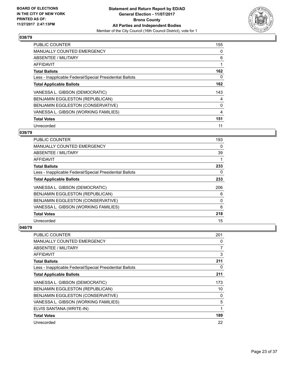

| <b>PUBLIC COUNTER</b>                                    | 155 |
|----------------------------------------------------------|-----|
| <b>MANUALLY COUNTED EMERGENCY</b>                        | 0   |
| ABSENTEE / MILITARY                                      | 6   |
| AFFIDAVIT                                                |     |
| <b>Total Ballots</b>                                     | 162 |
| Less - Inapplicable Federal/Special Presidential Ballots | 0   |
| <b>Total Applicable Ballots</b>                          | 162 |
| VANESSA L. GIBSON (DEMOCRATIC)                           | 143 |
| <b>BENJAMIN EGGLESTON (REPUBLICAN)</b>                   | 4   |
| <b>BENJAMIN EGGLESTON (CONSERVATIVE)</b>                 | 0   |
| VANESSA L. GIBSON (WORKING FAMILIES)                     | 4   |
| <b>Total Votes</b>                                       | 151 |
| Unrecorded                                               | 11  |

# **039/79**

| PUBLIC COUNTER                                           | 193 |
|----------------------------------------------------------|-----|
| <b>MANUALLY COUNTED EMERGENCY</b>                        | 0   |
| ABSENTEE / MILITARY                                      | 39  |
| AFFIDAVIT                                                |     |
| <b>Total Ballots</b>                                     | 233 |
| Less - Inapplicable Federal/Special Presidential Ballots | 0   |
| <b>Total Applicable Ballots</b>                          | 233 |
| VANESSA L. GIBSON (DEMOCRATIC)                           | 206 |
| BENJAMIN EGGLESTON (REPUBLICAN)                          | 6   |
| BENJAMIN EGGLESTON (CONSERVATIVE)                        | 0   |
| VANESSA L. GIBSON (WORKING FAMILIES)                     | 6   |
| <b>Total Votes</b>                                       | 218 |
| Unrecorded                                               | 15  |

| <b>PUBLIC COUNTER</b>                                    | 201 |
|----------------------------------------------------------|-----|
| <b>MANUALLY COUNTED EMERGENCY</b>                        | 0   |
| ABSENTEE / MILITARY                                      | 7   |
| AFFIDAVIT                                                | 3   |
| <b>Total Ballots</b>                                     | 211 |
| Less - Inapplicable Federal/Special Presidential Ballots | 0   |
| <b>Total Applicable Ballots</b>                          | 211 |
| VANESSA L. GIBSON (DEMOCRATIC)                           | 173 |
| BENJAMIN EGGLESTON (REPUBLICAN)                          | 10  |
| BENJAMIN EGGLESTON (CONSERVATIVE)                        | 0   |
| VANESSA L. GIBSON (WORKING FAMILIES)                     | 5   |
| ELVIS SANTANA (WRITE-IN)                                 | 1   |
| <b>Total Votes</b>                                       | 189 |
| Unrecorded                                               | 22  |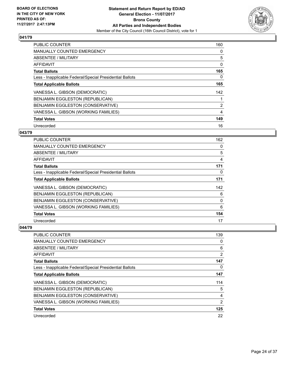

| <b>PUBLIC COUNTER</b>                                    | 160 |
|----------------------------------------------------------|-----|
| <b>MANUALLY COUNTED EMERGENCY</b>                        | 0   |
| ABSENTEE / MILITARY                                      | 5   |
| <b>AFFIDAVIT</b>                                         | 0   |
| <b>Total Ballots</b>                                     | 165 |
| Less - Inapplicable Federal/Special Presidential Ballots | 0   |
| <b>Total Applicable Ballots</b>                          | 165 |
| VANESSA L. GIBSON (DEMOCRATIC)                           | 142 |
| <b>BENJAMIN EGGLESTON (REPUBLICAN)</b>                   |     |
| BENJAMIN EGGLESTON (CONSERVATIVE)                        | 2   |
| VANESSA L. GIBSON (WORKING FAMILIES)                     | 4   |
| <b>Total Votes</b>                                       | 149 |
| Unrecorded                                               | 16  |

# **043/79**

| <b>PUBLIC COUNTER</b>                                    | 162 |
|----------------------------------------------------------|-----|
| MANUALLY COUNTED EMERGENCY                               | 0   |
| ABSENTEE / MILITARY                                      | 5   |
| AFFIDAVIT                                                | 4   |
| <b>Total Ballots</b>                                     | 171 |
| Less - Inapplicable Federal/Special Presidential Ballots | 0   |
| <b>Total Applicable Ballots</b>                          | 171 |
| VANESSA L. GIBSON (DEMOCRATIC)                           | 142 |
| BENJAMIN EGGLESTON (REPUBLICAN)                          | 6   |
| BENJAMIN EGGLESTON (CONSERVATIVE)                        | 0   |
| VANESSA L. GIBSON (WORKING FAMILIES)                     | 6   |
| <b>Total Votes</b>                                       | 154 |
| Unrecorded                                               | 17  |

| <b>PUBLIC COUNTER</b>                                    | 139            |
|----------------------------------------------------------|----------------|
| <b>MANUALLY COUNTED EMERGENCY</b>                        | 0              |
| ABSENTEE / MILITARY                                      | 6              |
| AFFIDAVIT                                                | $\overline{2}$ |
| <b>Total Ballots</b>                                     | 147            |
| Less - Inapplicable Federal/Special Presidential Ballots | 0              |
| <b>Total Applicable Ballots</b>                          | 147            |
| VANESSA L. GIBSON (DEMOCRATIC)                           | 114            |
| BENJAMIN EGGLESTON (REPUBLICAN)                          | 5              |
| BENJAMIN EGGLESTON (CONSERVATIVE)                        | 4              |
| VANESSA L. GIBSON (WORKING FAMILIES)                     | $\overline{2}$ |
| <b>Total Votes</b>                                       | 125            |
| Unrecorded                                               | 22             |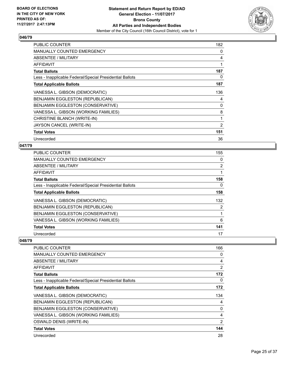

| <b>PUBLIC COUNTER</b>                                    | 182            |
|----------------------------------------------------------|----------------|
| <b>MANUALLY COUNTED EMERGENCY</b>                        | 0              |
| ABSENTEE / MILITARY                                      | 4              |
| AFFIDAVIT                                                | 1              |
| <b>Total Ballots</b>                                     | 187            |
| Less - Inapplicable Federal/Special Presidential Ballots | 0              |
| <b>Total Applicable Ballots</b>                          | 187            |
| VANESSA L. GIBSON (DEMOCRATIC)                           | 136            |
| BENJAMIN EGGLESTON (REPUBLICAN)                          | 4              |
| BENJAMIN EGGLESTON (CONSERVATIVE)                        | 0              |
| VANESSA L. GIBSON (WORKING FAMILIES)                     | 8              |
| CHRISTINE BLANCH (WRITE-IN)                              | 1              |
| JAYSON CANCEL (WRITE-IN)                                 | $\overline{2}$ |
| <b>Total Votes</b>                                       | 151            |
| Unrecorded                                               | 36             |

## **047/79**

| <b>PUBLIC COUNTER</b>                                    | 155            |
|----------------------------------------------------------|----------------|
| <b>MANUALLY COUNTED EMERGENCY</b>                        | 0              |
| ABSENTEE / MILITARY                                      | $\overline{2}$ |
| AFFIDAVIT                                                | 1              |
| <b>Total Ballots</b>                                     | 158            |
| Less - Inapplicable Federal/Special Presidential Ballots | 0              |
| <b>Total Applicable Ballots</b>                          | 158            |
| VANESSA L. GIBSON (DEMOCRATIC)                           | 132            |
| <b>BENJAMIN EGGLESTON (REPUBLICAN)</b>                   | 2              |
| BENJAMIN EGGLESTON (CONSERVATIVE)                        | 1              |
| VANESSA L. GIBSON (WORKING FAMILIES)                     | 6              |
| <b>Total Votes</b>                                       | 141            |
| Unrecorded                                               | 17             |

| <b>PUBLIC COUNTER</b>                                    | 166      |
|----------------------------------------------------------|----------|
| MANUALLY COUNTED EMERGENCY                               | 0        |
| ABSENTEE / MILITARY                                      | 4        |
| <b>AFFIDAVIT</b>                                         | 2        |
| <b>Total Ballots</b>                                     | 172      |
| Less - Inapplicable Federal/Special Presidential Ballots | $\Omega$ |
| <b>Total Applicable Ballots</b>                          | 172      |
| VANESSA L. GIBSON (DEMOCRATIC)                           | 134      |
| BENJAMIN EGGLESTON (REPUBLICAN)                          | 4        |
| BENJAMIN EGGLESTON (CONSERVATIVE)                        | 0        |
| VANESSA L. GIBSON (WORKING FAMILIES)                     | 4        |
| <b>OSWALD DENIS (WRITE-IN)</b>                           | 2        |
| <b>Total Votes</b>                                       | 144      |
| Unrecorded                                               | 28       |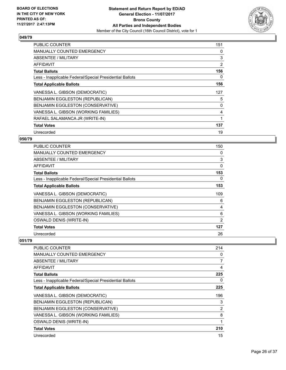

| <b>PUBLIC COUNTER</b>                                    | 151 |
|----------------------------------------------------------|-----|
| <b>MANUALLY COUNTED EMERGENCY</b>                        | 0   |
| <b>ABSENTEE / MILITARY</b>                               | 3   |
| <b>AFFIDAVIT</b>                                         | 2   |
| <b>Total Ballots</b>                                     | 156 |
| Less - Inapplicable Federal/Special Presidential Ballots | 0   |
| <b>Total Applicable Ballots</b>                          | 156 |
| VANESSA L. GIBSON (DEMOCRATIC)                           | 127 |
| <b>BENJAMIN EGGLESTON (REPUBLICAN)</b>                   | 5   |
| BENJAMIN EGGLESTON (CONSERVATIVE)                        | 0   |
| VANESSA L. GIBSON (WORKING FAMILIES)                     | 4   |
| RAFAEL SALAMANCA JR (WRITE-IN)                           | 1   |
| <b>Total Votes</b>                                       | 137 |
| Unrecorded                                               | 19  |

# **050/79**

| <b>PUBLIC COUNTER</b>                                    | 150      |
|----------------------------------------------------------|----------|
| <b>MANUALLY COUNTED EMERGENCY</b>                        | 0        |
| ABSENTEE / MILITARY                                      | 3        |
| AFFIDAVIT                                                | $\Omega$ |
| <b>Total Ballots</b>                                     | 153      |
| Less - Inapplicable Federal/Special Presidential Ballots | 0        |
| <b>Total Applicable Ballots</b>                          | 153      |
| VANESSA L. GIBSON (DEMOCRATIC)                           | 109      |
| BENJAMIN EGGLESTON (REPUBLICAN)                          | 6        |
| BENJAMIN EGGLESTON (CONSERVATIVE)                        | 4        |
| VANESSA L. GIBSON (WORKING FAMILIES)                     | 6        |
| OSWALD DENIS (WRITE-IN)                                  | 2        |
| <b>Total Votes</b>                                       | 127      |
| Unrecorded                                               | 26       |

| <b>PUBLIC COUNTER</b>                                    | 214 |
|----------------------------------------------------------|-----|
| <b>MANUALLY COUNTED EMERGENCY</b>                        | 0   |
| ABSENTEE / MILITARY                                      | 7   |
| <b>AFFIDAVIT</b>                                         | 4   |
| <b>Total Ballots</b>                                     | 225 |
| Less - Inapplicable Federal/Special Presidential Ballots | 0   |
| <b>Total Applicable Ballots</b>                          | 225 |
| VANESSA L. GIBSON (DEMOCRATIC)                           | 196 |
| BENJAMIN EGGLESTON (REPUBLICAN)                          | 3   |
| BENJAMIN EGGLESTON (CONSERVATIVE)                        | 2   |
| VANESSA L. GIBSON (WORKING FAMILIES)                     | 8   |
| <b>OSWALD DENIS (WRITE-IN)</b>                           | 1   |
| <b>Total Votes</b>                                       | 210 |
| Unrecorded                                               | 15  |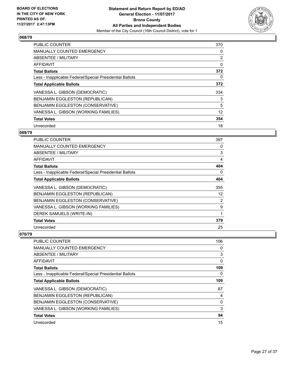

| PUBLIC COUNTER                                           | 370 |
|----------------------------------------------------------|-----|
| <b>MANUALLY COUNTED EMERGENCY</b>                        | 0   |
| ABSENTEE / MILITARY                                      | 2   |
| <b>AFFIDAVIT</b>                                         | 0   |
| <b>Total Ballots</b>                                     | 372 |
| Less - Inapplicable Federal/Special Presidential Ballots | 0   |
| <b>Total Applicable Ballots</b>                          | 372 |
| VANESSA L. GIBSON (DEMOCRATIC)                           | 334 |
| <b>BENJAMIN EGGLESTON (REPUBLICAN)</b>                   | 3   |
| BENJAMIN EGGLESTON (CONSERVATIVE)                        | 5   |
| VANESSA L. GIBSON (WORKING FAMILIES)                     | 12  |
| <b>Total Votes</b>                                       | 354 |
| Unrecorded                                               | 18  |

# **069/79**

| PUBLIC COUNTER                                           | 397               |
|----------------------------------------------------------|-------------------|
| <b>MANUALLY COUNTED EMERGENCY</b>                        | 0                 |
| ABSENTEE / MILITARY                                      | 3                 |
| <b>AFFIDAVIT</b>                                         | $\overline{4}$    |
| <b>Total Ballots</b>                                     | 404               |
| Less - Inapplicable Federal/Special Presidential Ballots | 0                 |
| <b>Total Applicable Ballots</b>                          | 404               |
| VANESSA L. GIBSON (DEMOCRATIC)                           | 355               |
| BENJAMIN EGGLESTON (REPUBLICAN)                          | $12 \overline{ }$ |
| BENJAMIN EGGLESTON (CONSERVATIVE)                        | 2                 |
| VANESSA L. GIBSON (WORKING FAMILIES)                     | 9                 |
| DEREK SAMUELS (WRITE-IN)                                 | 1                 |
| <b>Total Votes</b>                                       | 379               |
| Unrecorded                                               | 25                |

| <b>PUBLIC COUNTER</b>                                    | 106 |
|----------------------------------------------------------|-----|
| <b>MANUALLY COUNTED EMERGENCY</b>                        | 0   |
| ABSENTEE / MILITARY                                      | 3   |
| AFFIDAVIT                                                | 0   |
| <b>Total Ballots</b>                                     | 109 |
| Less - Inapplicable Federal/Special Presidential Ballots | 0   |
| <b>Total Applicable Ballots</b>                          | 109 |
| VANESSA L. GIBSON (DEMOCRATIC)                           | 87  |
| BENJAMIN EGGLESTON (REPUBLICAN)                          | 4   |
| BENJAMIN EGGLESTON (CONSERVATIVE)                        | 0   |
| VANESSA L. GIBSON (WORKING FAMILIES)                     | 3   |
| <b>Total Votes</b>                                       | 94  |
| Unrecorded                                               | 15  |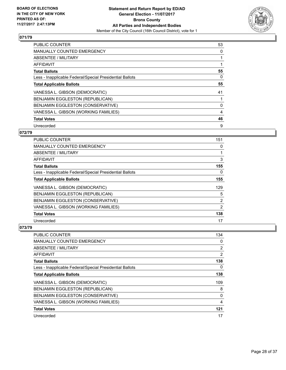

| <b>PUBLIC COUNTER</b>                                    | 53 |
|----------------------------------------------------------|----|
| <b>MANUALLY COUNTED EMERGENCY</b>                        | 0  |
| ABSENTEE / MILITARY                                      |    |
| AFFIDAVIT                                                |    |
| <b>Total Ballots</b>                                     | 55 |
| Less - Inapplicable Federal/Special Presidential Ballots | 0  |
| <b>Total Applicable Ballots</b>                          | 55 |
| VANESSA L. GIBSON (DEMOCRATIC)                           | 41 |
| <b>BENJAMIN EGGLESTON (REPUBLICAN)</b>                   |    |
| <b>BENJAMIN EGGLESTON (CONSERVATIVE)</b>                 | 0  |
| VANESSA L. GIBSON (WORKING FAMILIES)                     | 4  |
| <b>Total Votes</b>                                       | 46 |
| Unrecorded                                               | 9  |

# **072/79**

| <b>PUBLIC COUNTER</b>                                    | 151 |
|----------------------------------------------------------|-----|
| MANUALLY COUNTED EMERGENCY                               | 0   |
| ABSENTEE / MILITARY                                      | 1   |
| AFFIDAVIT                                                | 3   |
| <b>Total Ballots</b>                                     | 155 |
| Less - Inapplicable Federal/Special Presidential Ballots | 0   |
| <b>Total Applicable Ballots</b>                          | 155 |
| VANESSA L. GIBSON (DEMOCRATIC)                           | 129 |
| BENJAMIN EGGLESTON (REPUBLICAN)                          | 5   |
| BENJAMIN EGGLESTON (CONSERVATIVE)                        | 2   |
| VANESSA L. GIBSON (WORKING FAMILIES)                     | 2   |
| <b>Total Votes</b>                                       | 138 |
| Unrecorded                                               | 17  |

| <b>PUBLIC COUNTER</b>                                    | 134            |
|----------------------------------------------------------|----------------|
| <b>MANUALLY COUNTED EMERGENCY</b>                        | 0              |
| ABSENTEE / MILITARY                                      | $\overline{2}$ |
| AFFIDAVIT                                                | $\overline{2}$ |
| <b>Total Ballots</b>                                     | 138            |
| Less - Inapplicable Federal/Special Presidential Ballots | 0              |
| <b>Total Applicable Ballots</b>                          | 138            |
| VANESSA L. GIBSON (DEMOCRATIC)                           | 109            |
| BENJAMIN EGGLESTON (REPUBLICAN)                          | 8              |
| BENJAMIN EGGLESTON (CONSERVATIVE)                        | 0              |
| VANESSA L. GIBSON (WORKING FAMILIES)                     | 4              |
| <b>Total Votes</b>                                       | 121            |
| Unrecorded                                               | 17             |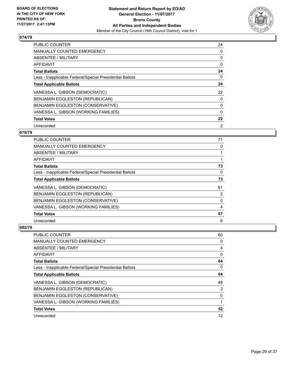

| <b>PUBLIC COUNTER</b>                                    | 24       |
|----------------------------------------------------------|----------|
| <b>MANUALLY COUNTED EMERGENCY</b>                        | 0        |
| ABSENTEE / MILITARY                                      | 0        |
| AFFIDAVIT                                                | 0        |
| <b>Total Ballots</b>                                     | 24       |
| Less - Inapplicable Federal/Special Presidential Ballots | 0        |
| <b>Total Applicable Ballots</b>                          | 24       |
| VANESSA L. GIBSON (DEMOCRATIC)                           | 22       |
| BENJAMIN EGGLESTON (REPUBLICAN)                          | 0        |
| <b>BENJAMIN EGGLESTON (CONSERVATIVE)</b>                 | 0        |
| VANESSA L. GIBSON (WORKING FAMILIES)                     | $\Omega$ |
| <b>Total Votes</b>                                       | 22       |
| Unrecorded                                               | 2        |

# **079/79**

| <b>PUBLIC COUNTER</b>                                    | 71       |
|----------------------------------------------------------|----------|
| <b>MANUALLY COUNTED EMERGENCY</b>                        | 0        |
| ABSENTEE / MILITARY                                      |          |
| AFFIDAVIT                                                |          |
| <b>Total Ballots</b>                                     | 73       |
| Less - Inapplicable Federal/Special Presidential Ballots | $\Omega$ |
| <b>Total Applicable Ballots</b>                          | 73       |
| VANESSA L. GIBSON (DEMOCRATIC)                           | 61       |
| BENJAMIN EGGLESTON (REPUBLICAN)                          | 2        |
| BENJAMIN EGGLESTON (CONSERVATIVE)                        | 0        |
| VANESSA L. GIBSON (WORKING FAMILIES)                     | 4        |
| <b>Total Votes</b>                                       | 67       |
| Unrecorded                                               | 6        |

| <b>PUBLIC COUNTER</b>                                    | 60 |
|----------------------------------------------------------|----|
| <b>MANUALLY COUNTED EMERGENCY</b>                        | 0  |
| ABSENTEE / MILITARY                                      | 4  |
| AFFIDAVIT                                                | 0  |
| <b>Total Ballots</b>                                     | 64 |
| Less - Inapplicable Federal/Special Presidential Ballots | 0  |
| <b>Total Applicable Ballots</b>                          | 64 |
| VANESSA L. GIBSON (DEMOCRATIC)                           | 48 |
| BENJAMIN EGGLESTON (REPUBLICAN)                          | 3  |
| BENJAMIN EGGLESTON (CONSERVATIVE)                        | 0  |
| VANESSA L. GIBSON (WORKING FAMILIES)                     | 1  |
| <b>Total Votes</b>                                       | 52 |
| Unrecorded                                               | 12 |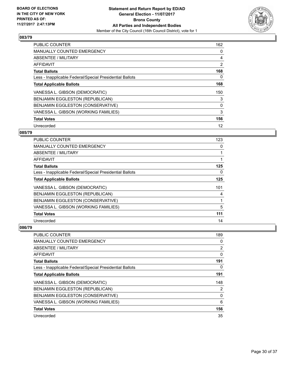

| <b>PUBLIC COUNTER</b>                                    | 162 |
|----------------------------------------------------------|-----|
| <b>MANUALLY COUNTED EMERGENCY</b>                        | 0   |
| ABSENTEE / MILITARY                                      | 4   |
| <b>AFFIDAVIT</b>                                         | 2   |
| <b>Total Ballots</b>                                     | 168 |
| Less - Inapplicable Federal/Special Presidential Ballots | 0   |
| <b>Total Applicable Ballots</b>                          | 168 |
| VANESSA L. GIBSON (DEMOCRATIC)                           | 150 |
| <b>BENJAMIN EGGLESTON (REPUBLICAN)</b>                   | 3   |
| BENJAMIN EGGLESTON (CONSERVATIVE)                        | 0   |
| VANESSA L. GIBSON (WORKING FAMILIES)                     | 3   |
| <b>Total Votes</b>                                       | 156 |
| Unrecorded                                               | 12  |

# **085/79**

| <b>PUBLIC COUNTER</b>                                    | 123 |
|----------------------------------------------------------|-----|
| MANUALLY COUNTED EMERGENCY                               | 0   |
| ABSENTEE / MILITARY                                      |     |
| AFFIDAVIT                                                |     |
| <b>Total Ballots</b>                                     | 125 |
| Less - Inapplicable Federal/Special Presidential Ballots | 0   |
| <b>Total Applicable Ballots</b>                          | 125 |
| VANESSA L. GIBSON (DEMOCRATIC)                           | 101 |
| BENJAMIN EGGLESTON (REPUBLICAN)                          | 4   |
| BENJAMIN EGGLESTON (CONSERVATIVE)                        |     |
| VANESSA L. GIBSON (WORKING FAMILIES)                     | 5   |
| <b>Total Votes</b>                                       | 111 |
| Unrecorded                                               | 14  |

| <b>PUBLIC COUNTER</b>                                    | 189            |
|----------------------------------------------------------|----------------|
| <b>MANUALLY COUNTED EMERGENCY</b>                        | 0              |
| ABSENTEE / MILITARY                                      | $\overline{2}$ |
| AFFIDAVIT                                                | 0              |
| <b>Total Ballots</b>                                     | 191            |
| Less - Inapplicable Federal/Special Presidential Ballots | 0              |
| <b>Total Applicable Ballots</b>                          | 191            |
| VANESSA L. GIBSON (DEMOCRATIC)                           | 148            |
| BENJAMIN EGGLESTON (REPUBLICAN)                          | 2              |
| BENJAMIN EGGLESTON (CONSERVATIVE)                        | 0              |
| VANESSA L. GIBSON (WORKING FAMILIES)                     | 6              |
| <b>Total Votes</b>                                       | 156            |
| Unrecorded                                               | 35             |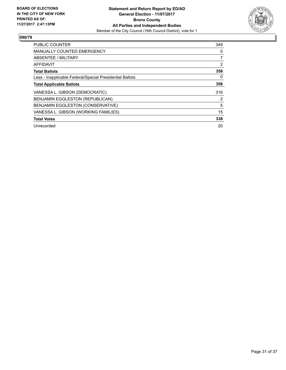

| <b>PUBLIC COUNTER</b>                                    | 349 |
|----------------------------------------------------------|-----|
| <b>MANUALLY COUNTED EMERGENCY</b>                        | 0   |
| ABSENTEE / MILITARY                                      | 7   |
| AFFIDAVIT                                                | 2   |
| <b>Total Ballots</b>                                     | 358 |
| Less - Inapplicable Federal/Special Presidential Ballots | 0   |
| <b>Total Applicable Ballots</b>                          | 358 |
| VANESSA L. GIBSON (DEMOCRATIC)                           | 316 |
| BENJAMIN EGGLESTON (REPUBLICAN)                          | 2   |
| BENJAMIN EGGLESTON (CONSERVATIVE)                        | 5   |
| VANESSA L. GIBSON (WORKING FAMILIES)                     | 15  |
| <b>Total Votes</b>                                       | 338 |
| Unrecorded                                               | 20  |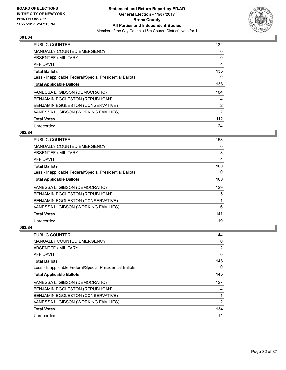

| PUBLIC COUNTER                                           | 132   |
|----------------------------------------------------------|-------|
| <b>MANUALLY COUNTED EMERGENCY</b>                        | 0     |
| ABSENTEE / MILITARY                                      | 0     |
| <b>AFFIDAVIT</b>                                         | 4     |
| <b>Total Ballots</b>                                     | 136   |
| Less - Inapplicable Federal/Special Presidential Ballots | 0     |
| <b>Total Applicable Ballots</b>                          | 136   |
| VANESSA L. GIBSON (DEMOCRATIC)                           | 104   |
| <b>BENJAMIN EGGLESTON (REPUBLICAN)</b>                   | 4     |
| BENJAMIN EGGLESTON (CONSERVATIVE)                        | 2     |
| VANESSA L. GIBSON (WORKING FAMILIES)                     | 2     |
| <b>Total Votes</b>                                       | $112$ |
| Unrecorded                                               | 24    |

# **002/84**

| <b>PUBLIC COUNTER</b>                                    | 153 |
|----------------------------------------------------------|-----|
| <b>MANUALLY COUNTED EMERGENCY</b>                        | 0   |
| ABSENTEE / MILITARY                                      | 3   |
| AFFIDAVIT                                                | 4   |
| <b>Total Ballots</b>                                     | 160 |
| Less - Inapplicable Federal/Special Presidential Ballots | 0   |
| <b>Total Applicable Ballots</b>                          | 160 |
| VANESSA L. GIBSON (DEMOCRATIC)                           | 129 |
| BENJAMIN EGGLESTON (REPUBLICAN)                          | 5   |
| BENJAMIN EGGLESTON (CONSERVATIVE)                        | 1   |
| VANESSA L. GIBSON (WORKING FAMILIES)                     | 6   |
| <b>Total Votes</b>                                       | 141 |
| Unrecorded                                               | 19  |

| <b>PUBLIC COUNTER</b>                                    | 144 |
|----------------------------------------------------------|-----|
| <b>MANUALLY COUNTED EMERGENCY</b>                        | 0   |
| ABSENTEE / MILITARY                                      | 2   |
| AFFIDAVIT                                                | 0   |
| <b>Total Ballots</b>                                     | 146 |
| Less - Inapplicable Federal/Special Presidential Ballots | 0   |
| <b>Total Applicable Ballots</b>                          | 146 |
| VANESSA L. GIBSON (DEMOCRATIC)                           | 127 |
| BENJAMIN EGGLESTON (REPUBLICAN)                          | 4   |
| BENJAMIN EGGLESTON (CONSERVATIVE)                        |     |
| VANESSA L. GIBSON (WORKING FAMILIES)                     | 2   |
| <b>Total Votes</b>                                       | 134 |
| Unrecorded                                               | 12  |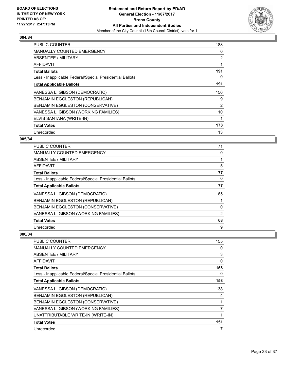

| <b>PUBLIC COUNTER</b>                                    | 188            |
|----------------------------------------------------------|----------------|
| <b>MANUALLY COUNTED EMERGENCY</b>                        | 0              |
| ABSENTEE / MILITARY                                      | $\overline{2}$ |
| AFFIDAVIT                                                | 1              |
| <b>Total Ballots</b>                                     | 191            |
| Less - Inapplicable Federal/Special Presidential Ballots | 0              |
| <b>Total Applicable Ballots</b>                          | 191            |
| VANESSA L. GIBSON (DEMOCRATIC)                           | 156            |
| BENJAMIN EGGLESTON (REPUBLICAN)                          | 9              |
| <b>BENJAMIN EGGLESTON (CONSERVATIVE)</b>                 | 2              |
| VANESSA L. GIBSON (WORKING FAMILIES)                     | 10             |
| ELVIS SANTANA (WRITE-IN)                                 | 1              |
| <b>Total Votes</b>                                       | 178            |
| Unrecorded                                               | 13             |

# **005/84**

| <b>PUBLIC COUNTER</b>                                    | 71             |
|----------------------------------------------------------|----------------|
| <b>MANUALLY COUNTED EMERGENCY</b>                        | 0              |
| ABSENTEE / MILITARY                                      |                |
| AFFIDAVIT                                                | 5              |
| <b>Total Ballots</b>                                     | 77             |
| Less - Inapplicable Federal/Special Presidential Ballots | 0              |
| <b>Total Applicable Ballots</b>                          | 77             |
| VANESSA L. GIBSON (DEMOCRATIC)                           | 65             |
| <b>BENJAMIN EGGLESTON (REPUBLICAN)</b>                   |                |
| BENJAMIN EGGLESTON (CONSERVATIVE)                        | 0              |
| VANESSA L. GIBSON (WORKING FAMILIES)                     | $\overline{2}$ |
| <b>Total Votes</b>                                       | 68             |
| Unrecorded                                               | 9              |

| PUBLIC COUNTER                                           | 155 |
|----------------------------------------------------------|-----|
| <b>MANUALLY COUNTED EMERGENCY</b>                        | 0   |
| ABSENTEE / MILITARY                                      | 3   |
| <b>AFFIDAVIT</b>                                         | 0   |
| <b>Total Ballots</b>                                     | 158 |
| Less - Inapplicable Federal/Special Presidential Ballots | 0   |
| <b>Total Applicable Ballots</b>                          | 158 |
| VANESSA L. GIBSON (DEMOCRATIC)                           | 138 |
| BENJAMIN EGGLESTON (REPUBLICAN)                          | 4   |
| BENJAMIN EGGLESTON (CONSERVATIVE)                        |     |
| VANESSA L. GIBSON (WORKING FAMILIES)                     | 7   |
| UNATTRIBUTABLE WRITE-IN (WRITE-IN)                       | 1   |
| <b>Total Votes</b>                                       | 151 |
| Unrecorded                                               | 7   |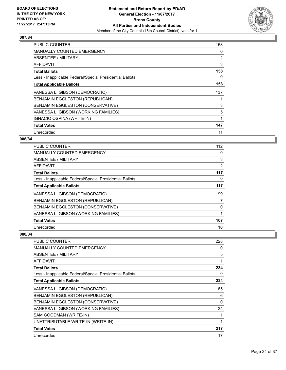

| <b>PUBLIC COUNTER</b>                                    | 153 |
|----------------------------------------------------------|-----|
| <b>MANUALLY COUNTED EMERGENCY</b>                        | 0   |
| <b>ABSENTEE / MILITARY</b>                               | 2   |
| AFFIDAVIT                                                | 3   |
| <b>Total Ballots</b>                                     | 158 |
| Less - Inapplicable Federal/Special Presidential Ballots | 0   |
| <b>Total Applicable Ballots</b>                          | 158 |
| VANESSA L. GIBSON (DEMOCRATIC)                           | 137 |
| <b>BENJAMIN EGGLESTON (REPUBLICAN)</b>                   |     |
| BENJAMIN EGGLESTON (CONSERVATIVE)                        | 3   |
| VANESSA L. GIBSON (WORKING FAMILIES)                     | 5   |
| IGNACIO OSPINA (WRITE-IN)                                | 1   |
| <b>Total Votes</b>                                       | 147 |
| Unrecorded                                               | 11  |

# **008/84**

| PUBLIC COUNTER                                           | 112 |
|----------------------------------------------------------|-----|
| <b>MANUALLY COUNTED EMERGENCY</b>                        | 0   |
| ABSENTEE / MILITARY                                      | 3   |
| AFFIDAVIT                                                | 2   |
| <b>Total Ballots</b>                                     | 117 |
| Less - Inapplicable Federal/Special Presidential Ballots | 0   |
| <b>Total Applicable Ballots</b>                          | 117 |
| VANESSA L. GIBSON (DEMOCRATIC)                           | 99  |
| BENJAMIN EGGLESTON (REPUBLICAN)                          | 7   |
| BENJAMIN EGGLESTON (CONSERVATIVE)                        | 0   |
| VANESSA L. GIBSON (WORKING FAMILIES)                     | 1   |
| <b>Total Votes</b>                                       | 107 |
| Unrecorded                                               | 10  |

| <b>PUBLIC COUNTER</b>                                    | 228      |
|----------------------------------------------------------|----------|
| <b>MANUALLY COUNTED EMERGENCY</b>                        | 0        |
| ABSENTEE / MILITARY                                      | 5        |
| AFFIDAVIT                                                |          |
| <b>Total Ballots</b>                                     | 234      |
| Less - Inapplicable Federal/Special Presidential Ballots | 0        |
| <b>Total Applicable Ballots</b>                          | 234      |
| VANESSA L. GIBSON (DEMOCRATIC)                           | 185      |
| BENJAMIN EGGLESTON (REPUBLICAN)                          | 6        |
| BENJAMIN EGGLESTON (CONSERVATIVE)                        | $\Omega$ |
| VANESSA L. GIBSON (WORKING FAMILIES)                     | 24       |
| SAM GOODMAN (WRITE-IN)                                   |          |
| UNATTRIBUTABLE WRITE-IN (WRITE-IN)                       | 1        |
| <b>Total Votes</b>                                       | 217      |
| Unrecorded                                               | 17       |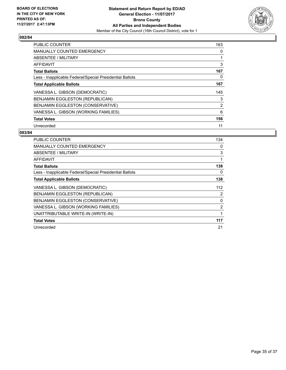

| <b>PUBLIC COUNTER</b>                                    | 163 |
|----------------------------------------------------------|-----|
| <b>MANUALLY COUNTED EMERGENCY</b>                        | 0   |
| ABSENTEE / MILITARY                                      | 1   |
| <b>AFFIDAVIT</b>                                         | 3   |
| <b>Total Ballots</b>                                     | 167 |
| Less - Inapplicable Federal/Special Presidential Ballots | 0   |
| <b>Total Applicable Ballots</b>                          | 167 |
| VANESSA L. GIBSON (DEMOCRATIC)                           | 145 |
| BENJAMIN EGGLESTON (REPUBLICAN)                          | 3   |
| BENJAMIN EGGLESTON (CONSERVATIVE)                        | 2   |
| VANESSA L. GIBSON (WORKING FAMILIES)                     | 6   |
| <b>Total Votes</b>                                       | 156 |
| Unrecorded                                               | 11  |

| <b>PUBLIC COUNTER</b>                                    | 134            |
|----------------------------------------------------------|----------------|
| <b>MANUALLY COUNTED EMERGENCY</b>                        | 0              |
| ABSENTEE / MILITARY                                      | 3              |
| AFFIDAVIT                                                | 1              |
| <b>Total Ballots</b>                                     | 138            |
| Less - Inapplicable Federal/Special Presidential Ballots | 0              |
| <b>Total Applicable Ballots</b>                          | 138            |
| VANESSA L. GIBSON (DEMOCRATIC)                           | 112            |
| BENJAMIN EGGLESTON (REPUBLICAN)                          | $\overline{2}$ |
| BENJAMIN EGGLESTON (CONSERVATIVE)                        | $\mathbf 0$    |
| VANESSA L. GIBSON (WORKING FAMILIES)                     | $\overline{2}$ |
| UNATTRIBUTABLE WRITE-IN (WRITE-IN)                       | 1              |
| <b>Total Votes</b>                                       | 117            |
| Unrecorded                                               | 21             |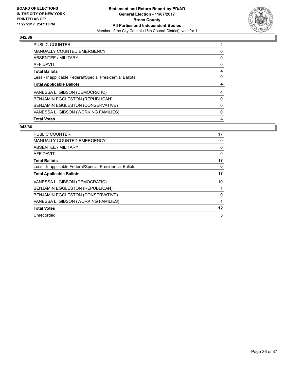

| PUBLIC COUNTER                                           | 4 |
|----------------------------------------------------------|---|
| <b>MANUALLY COUNTED EMERGENCY</b>                        | 0 |
| ABSENTEE / MILITARY                                      | 0 |
| AFFIDAVIT                                                | 0 |
| <b>Total Ballots</b>                                     | 4 |
| Less - Inapplicable Federal/Special Presidential Ballots | 0 |
| <b>Total Applicable Ballots</b>                          | 4 |
| VANESSA L. GIBSON (DEMOCRATIC)                           | 4 |
| <b>BENJAMIN EGGLESTON (REPUBLICAN)</b>                   | 0 |
| BENJAMIN EGGLESTON (CONSERVATIVE)                        | 0 |
| VANESSA L. GIBSON (WORKING FAMILIES)                     | 0 |
| <b>Total Votes</b>                                       | 4 |

| <b>PUBLIC COUNTER</b>                                    | 17 |
|----------------------------------------------------------|----|
| <b>MANUALLY COUNTED EMERGENCY</b>                        | 0  |
| ABSENTEE / MILITARY                                      | 0  |
| AFFIDAVIT                                                | 0  |
| <b>Total Ballots</b>                                     | 17 |
| Less - Inapplicable Federal/Special Presidential Ballots | 0  |
| <b>Total Applicable Ballots</b>                          | 17 |
| VANESSA L. GIBSON (DEMOCRATIC)                           | 10 |
| BENJAMIN EGGLESTON (REPUBLICAN)                          | 1  |
| BENJAMIN EGGLESTON (CONSERVATIVE)                        | 0  |
| VANESSA L. GIBSON (WORKING FAMILIES)                     |    |
| <b>Total Votes</b>                                       | 12 |
| Unrecorded                                               | 5  |